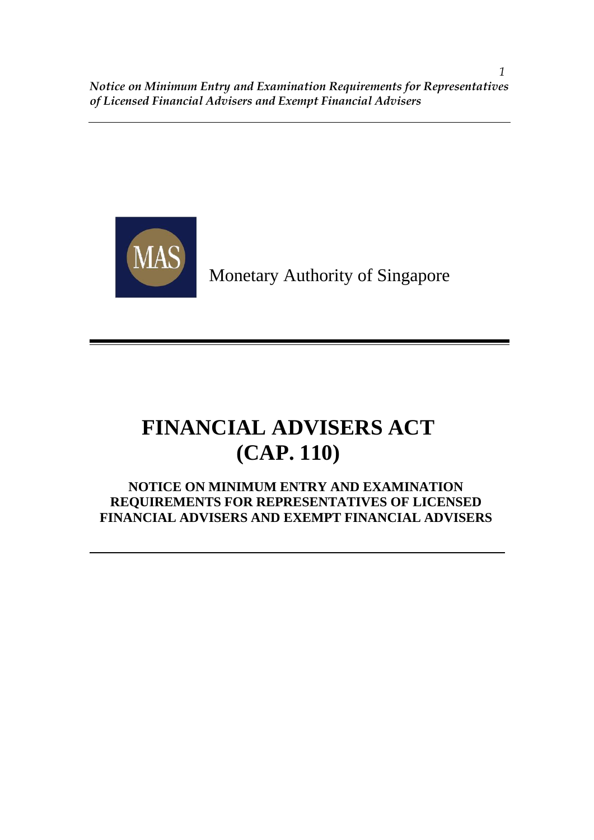

Monetary Authority of Singapore

# **FINANCIAL ADVISERS ACT (CAP. 110)**

# **NOTICE ON MINIMUM ENTRY AND EXAMINATION REQUIREMENTS FOR REPRESENTATIVES OF LICENSED FINANCIAL ADVISERS AND EXEMPT FINANCIAL ADVISERS**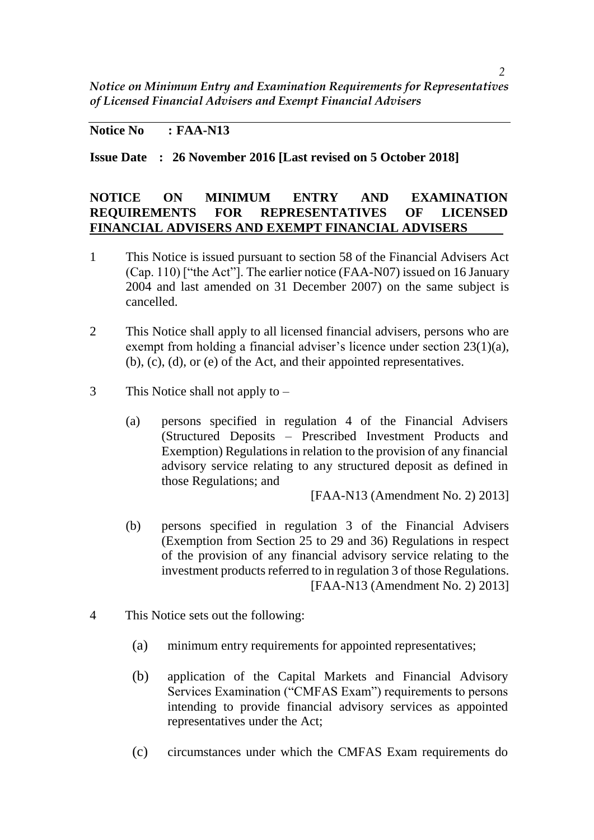### **Notice No : FAA-N13**

**Issue Date : 26 November 2016 [Last revised on 5 October 2018]**

### **NOTICE ON MINIMUM ENTRY AND EXAMINATION REQUIREMENTS FOR REPRESENTATIVES OF LICENSED FINANCIAL ADVISERS AND EXEMPT FINANCIAL ADVISERS**

- 1 This Notice is issued pursuant to section 58 of the Financial Advisers Act (Cap. 110) ["the Act"]. The earlier notice (FAA-N07) issued on 16 January 2004 and last amended on 31 December 2007) on the same subject is cancelled.
- 2 This Notice shall apply to all licensed financial advisers, persons who are exempt from holding a financial adviser's licence under section 23(1)(a), (b), (c), (d), or (e) of the Act, and their appointed representatives.
- 3 This Notice shall not apply to
	- (a) persons specified in regulation 4 of the Financial Advisers (Structured Deposits – Prescribed Investment Products and Exemption) Regulations in relation to the provision of any financial advisory service relating to any structured deposit as defined in those Regulations; and

[FAA-N13 (Amendment No. 2) 2013]

- (b) persons specified in regulation 3 of the Financial Advisers (Exemption from Section 25 to 29 and 36) Regulations in respect of the provision of any financial advisory service relating to the investment products referred to in regulation 3 of those Regulations. [FAA-N13 (Amendment No. 2) 2013]
- 4 This Notice sets out the following:
	- (a) minimum entry requirements for appointed representatives;
	- (b) application of the Capital Markets and Financial Advisory Services Examination ("CMFAS Exam") requirements to persons intending to provide financial advisory services as appointed representatives under the Act;
	- (c) circumstances under which the CMFAS Exam requirements do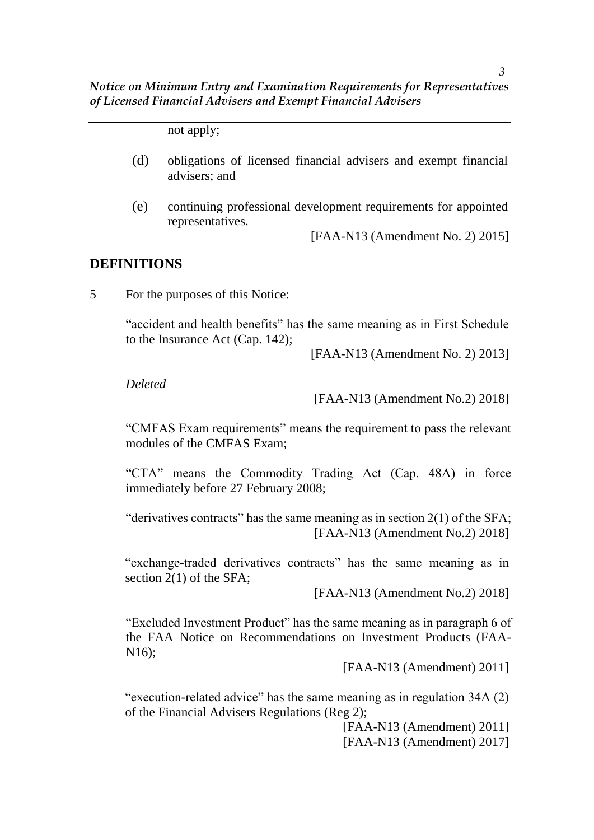not apply;

- (d) obligations of licensed financial advisers and exempt financial advisers; and
- (e) continuing professional development requirements for appointed representatives.

[FAA-N13 (Amendment No. 2) 2015]

#### **DEFINITIONS**

5 For the purposes of this Notice:

"accident and health benefits" has the same meaning as in First Schedule to the Insurance Act (Cap. 142);

[FAA-N13 (Amendment No. 2) 2013]

*Deleted*

[FAA-N13 (Amendment No.2) 2018]

"CMFAS Exam requirements" means the requirement to pass the relevant modules of the CMFAS Exam;

"CTA" means the Commodity Trading Act (Cap. 48A) in force immediately before 27 February 2008;

"derivatives contracts" has the same meaning as in section  $2(1)$  of the SFA; [FAA-N13 (Amendment No.2) 2018]

"exchange-traded derivatives contracts" has the same meaning as in section 2(1) of the SFA;

[FAA-N13 (Amendment No.2) 2018]

"Excluded Investment Product" has the same meaning as in paragraph 6 of the FAA Notice on Recommendations on Investment Products (FAA-N16);

[FAA-N13 (Amendment) 2011]

"execution-related advice" has the same meaning as in regulation 34A (2) of the Financial Advisers Regulations (Reg 2);

[FAA-N13 (Amendment) 2011]

[FAA-N13 (Amendment) 2017]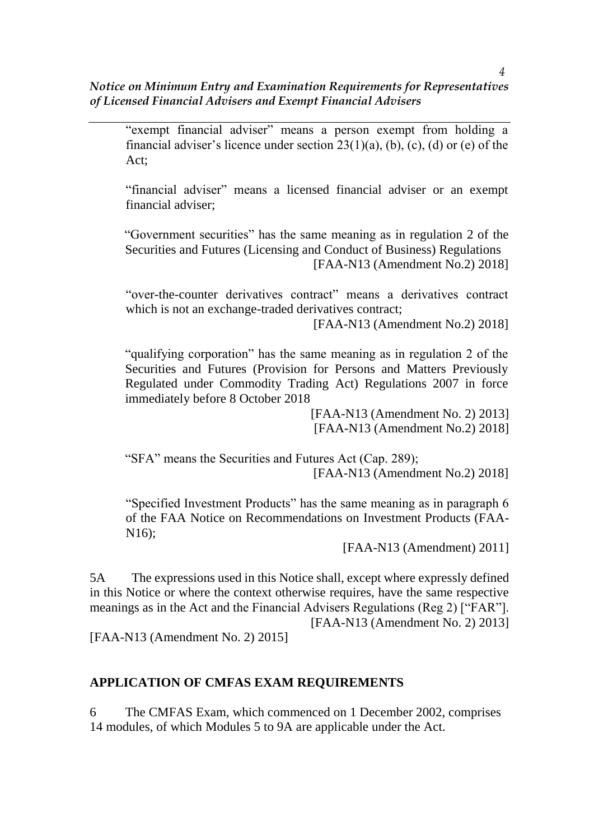"exempt financial adviser" means a person exempt from holding a financial adviser's licence under section  $23(1)(a)$ , (b), (c), (d) or (e) of the  $Act$ 

"financial adviser" means a licensed financial adviser or an exempt financial adviser;

"Government securities" has the same meaning as in regulation 2 of the Securities and Futures (Licensing and Conduct of Business) Regulations [FAA-N13 (Amendment No.2) 2018]

"over-the-counter derivatives contract" means a derivatives contract which is not an exchange-traded derivatives contract;

[FAA-N13 (Amendment No.2) 2018]

"qualifying corporation" has the same meaning as in regulation 2 of the Securities and Futures (Provision for Persons and Matters Previously Regulated under Commodity Trading Act) Regulations 2007 in force immediately before 8 October 2018

> [FAA-N13 (Amendment No. 2) 2013] [FAA-N13 (Amendment No.2) 2018]

"SFA" means the Securities and Futures Act (Cap. 289); [FAA-N13 (Amendment No.2) 2018]

"Specified Investment Products" has the same meaning as in paragraph 6 of the FAA Notice on Recommendations on Investment Products (FAA-N16);

[FAA-N13 (Amendment) 2011]

5A The expressions used in this Notice shall, except where expressly defined in this Notice or where the context otherwise requires, have the same respective meanings as in the Act and the Financial Advisers Regulations (Reg 2) ["FAR"]. [FAA-N13 (Amendment No. 2) 2013]

[FAA-N13 (Amendment No. 2) 2015]

### **APPLICATION OF CMFAS EXAM REQUIREMENTS**

6 The CMFAS Exam, which commenced on 1 December 2002, comprises 14 modules, of which Modules 5 to 9A are applicable under the Act.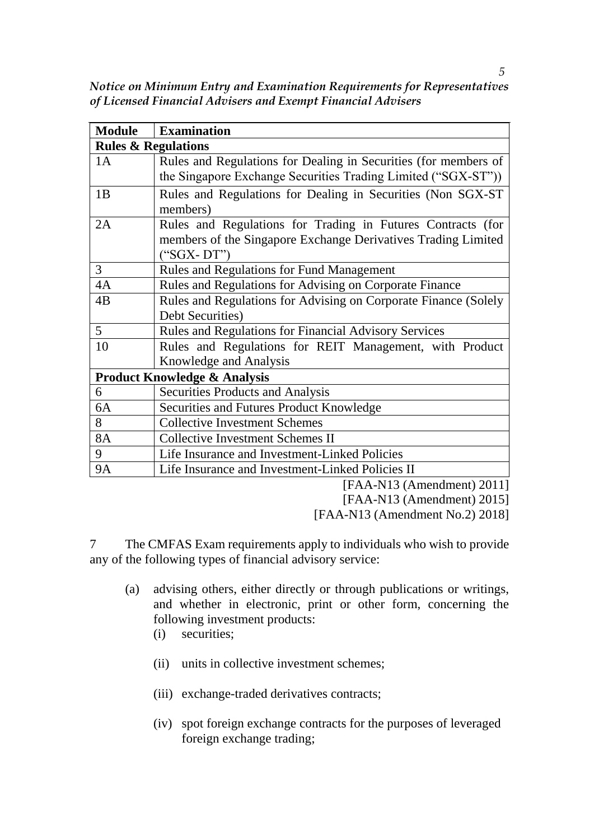*Notice on Minimum Entry and Examination Requirements for Representatives of Licensed Financial Advisers and Exempt Financial Advisers*

| <b>Module</b>                           | <b>Examination</b>                                                       |  |  |  |  |
|-----------------------------------------|--------------------------------------------------------------------------|--|--|--|--|
| <b>Rules &amp; Regulations</b>          |                                                                          |  |  |  |  |
| 1A                                      | Rules and Regulations for Dealing in Securities (for members of          |  |  |  |  |
|                                         | the Singapore Exchange Securities Trading Limited ("SGX-ST"))            |  |  |  |  |
| 1B                                      | Rules and Regulations for Dealing in Securities (Non SGX-ST)<br>members) |  |  |  |  |
| 2A                                      | Rules and Regulations for Trading in Futures Contracts (for              |  |  |  |  |
|                                         | members of the Singapore Exchange Derivatives Trading Limited            |  |  |  |  |
|                                         | $("SGX-DT")$                                                             |  |  |  |  |
| 3                                       | <b>Rules and Regulations for Fund Management</b>                         |  |  |  |  |
| 4A                                      | Rules and Regulations for Advising on Corporate Finance                  |  |  |  |  |
| 4B                                      | Rules and Regulations for Advising on Corporate Finance (Solely          |  |  |  |  |
|                                         | Debt Securities)                                                         |  |  |  |  |
| 5 <sup>5</sup>                          | Rules and Regulations for Financial Advisory Services                    |  |  |  |  |
| 10                                      | Rules and Regulations for REIT Management, with Product                  |  |  |  |  |
|                                         | Knowledge and Analysis                                                   |  |  |  |  |
| <b>Product Knowledge &amp; Analysis</b> |                                                                          |  |  |  |  |
| 6                                       | Securities Products and Analysis                                         |  |  |  |  |
| 6A                                      | Securities and Futures Product Knowledge                                 |  |  |  |  |
| 8                                       | <b>Collective Investment Schemes</b>                                     |  |  |  |  |
| <b>8A</b>                               | <b>Collective Investment Schemes II</b>                                  |  |  |  |  |
| 9                                       | Life Insurance and Investment-Linked Policies                            |  |  |  |  |
| <b>9A</b>                               | Life Insurance and Investment-Linked Policies II                         |  |  |  |  |

[FAA-N13 (Amendment) 2011]

[FAA-N13 (Amendment) 2015]

[FAA-N13 (Amendment No.2) 2018]

7 The CMFAS Exam requirements apply to individuals who wish to provide any of the following types of financial advisory service:

- (a) advising others, either directly or through publications or writings, and whether in electronic, print or other form, concerning the following investment products:
	- (i) securities;
	- (ii) units in collective investment schemes;
	- (iii) exchange-traded derivatives contracts;
	- (iv) spot foreign exchange contracts for the purposes of leveraged foreign exchange trading;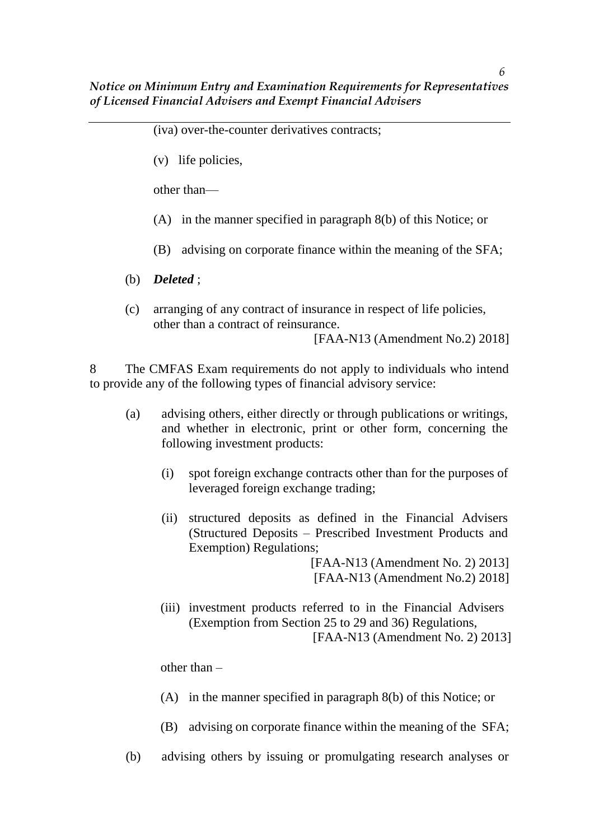*6*

(iva) over-the-counter derivatives contracts;

(v) life policies,

other than—

- (A) in the manner specified in paragraph 8(b) of this Notice; or
- (B) advising on corporate finance within the meaning of the SFA;
- (b) *Deleted* ;
- (c) arranging of any contract of insurance in respect of life policies, other than a contract of reinsurance.

[FAA-N13 (Amendment No.2) 2018]

8 The CMFAS Exam requirements do not apply to individuals who intend to provide any of the following types of financial advisory service:

- (a) advising others, either directly or through publications or writings, and whether in electronic, print or other form, concerning the following investment products:
	- (i) spot foreign exchange contracts other than for the purposes of leveraged foreign exchange trading;
	- (ii) structured deposits as defined in the Financial Advisers (Structured Deposits – Prescribed Investment Products and Exemption) Regulations;

[FAA-N13 (Amendment No. 2) 2013] [FAA-N13 (Amendment No.2) 2018]

(iii) investment products referred to in the Financial Advisers (Exemption from Section 25 to 29 and 36) Regulations, [FAA-N13 (Amendment No. 2) 2013]

other than –

- (A) in the manner specified in paragraph 8(b) of this Notice; or
- (B) advising on corporate finance within the meaning of the SFA;
- (b) advising others by issuing or promulgating research analyses or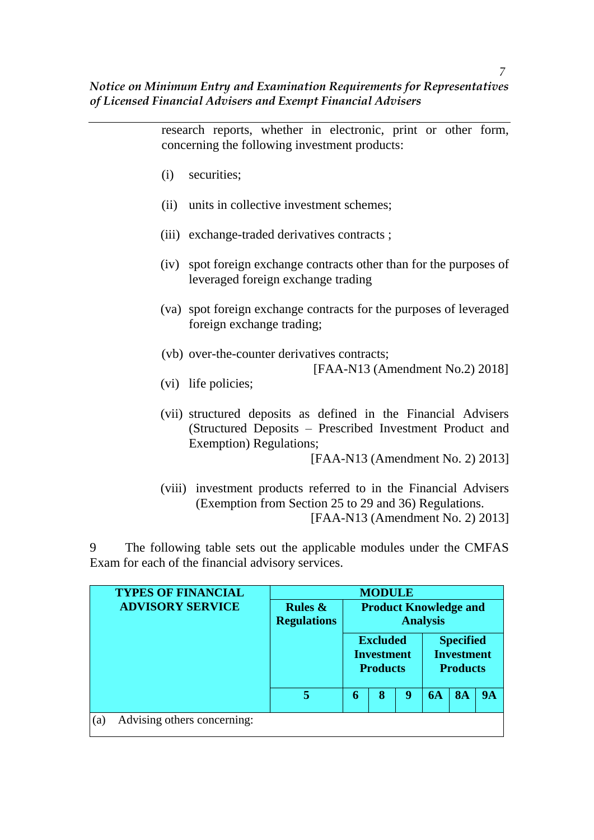research reports, whether in electronic, print or other form, concerning the following investment products:

- (i) securities;
- (ii) units in collective investment schemes;
- (iii) exchange-traded derivatives contracts ;
- (iv) spot foreign exchange contracts other than for the purposes of leveraged foreign exchange trading
- (va) spot foreign exchange contracts for the purposes of leveraged foreign exchange trading;
- (vb) over-the-counter derivatives contracts;

[FAA-N13 (Amendment No.2) 2018]

- (vi) life policies;
- (vii) structured deposits as defined in the Financial Advisers (Structured Deposits – Prescribed Investment Product and Exemption) Regulations;

[FAA-N13 (Amendment No. 2) 2013]

(viii) investment products referred to in the Financial Advisers (Exemption from Section 25 to 29 and 36) Regulations. [FAA-N13 (Amendment No. 2) 2013]

9 The following table sets out the applicable modules under the CMFAS Exam for each of the financial advisory services.

| <b>TYPES OF FINANCIAL</b>                        | <b>MODULE</b>                    |                                                 |                                                  |   |    |                                                          |           |
|--------------------------------------------------|----------------------------------|-------------------------------------------------|--------------------------------------------------|---|----|----------------------------------------------------------|-----------|
| <b>ADVISORY SERVICE</b>                          | Rules $\&$<br><b>Regulations</b> | <b>Product Knowledge and</b><br><b>Analysis</b> |                                                  |   |    |                                                          |           |
|                                                  |                                  |                                                 | <b>Excluded</b><br>Investment<br><b>Products</b> |   |    | <b>Specified</b><br><b>Investment</b><br><b>Products</b> |           |
|                                                  | 5                                | 6                                               | 8                                                | 9 | 6A | <b>8A</b>                                                | <b>9A</b> |
| Advising others concerning:<br>$\left( a\right)$ |                                  |                                                 |                                                  |   |    |                                                          |           |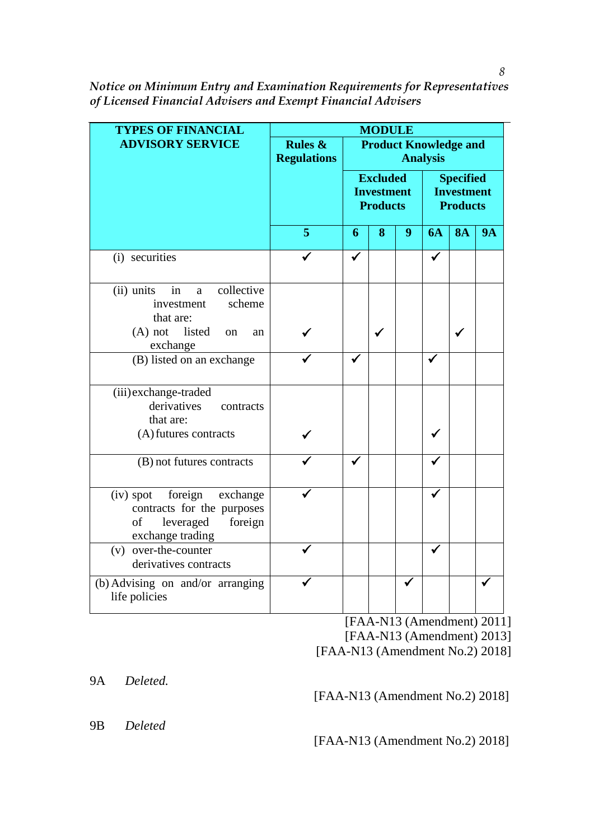| <b>TYPES OF FINANCIAL</b>                                                                                          |                                          |                                                         | <b>MODULE</b> |                                                          |           |           |           |
|--------------------------------------------------------------------------------------------------------------------|------------------------------------------|---------------------------------------------------------|---------------|----------------------------------------------------------|-----------|-----------|-----------|
| <b>ADVISORY SERVICE</b>                                                                                            | <b>Rules &amp;</b><br><b>Regulations</b> | <b>Product Knowledge and</b><br><b>Analysis</b>         |               |                                                          |           |           |           |
|                                                                                                                    |                                          | <b>Excluded</b><br><b>Investment</b><br><b>Products</b> |               | <b>Specified</b><br><b>Investment</b><br><b>Products</b> |           |           |           |
|                                                                                                                    | 5                                        | 6                                                       | 8             | 9                                                        | <b>6A</b> | <b>8A</b> | <b>9A</b> |
| (i) securities                                                                                                     |                                          | $\checkmark$                                            |               |                                                          | ✓         |           |           |
| collective<br>(ii) units<br>in<br>a<br>scheme<br>investment<br>that are:                                           |                                          |                                                         |               |                                                          |           |           |           |
| listed<br>$(A)$ not<br><sub>on</sub><br>an<br>exchange                                                             |                                          |                                                         |               |                                                          |           |           |           |
| (B) listed on an exchange                                                                                          |                                          |                                                         |               |                                                          | ✔         |           |           |
| (iii) exchange-traded<br>derivatives<br>contracts<br>that are:                                                     |                                          |                                                         |               |                                                          |           |           |           |
| (A) futures contracts                                                                                              |                                          |                                                         |               |                                                          |           |           |           |
| (B) not futures contracts                                                                                          |                                          |                                                         |               |                                                          |           |           |           |
| foreign<br>$(iv)$ spot<br>exchange<br>contracts for the purposes<br>of<br>leveraged<br>foreign<br>exchange trading |                                          |                                                         |               |                                                          |           |           |           |
| (v) over-the-counter<br>derivatives contracts                                                                      |                                          |                                                         |               |                                                          | ✔         |           |           |
| (b) Advising on and/or arranging<br>life policies                                                                  |                                          |                                                         |               | √                                                        |           |           |           |

[FAA-N13 (Amendment) 2011] [FAA-N13 (Amendment) 2013] [FAA-N13 (Amendment No.2) 2018]

9A *Deleted.*

[FAA-N13 (Amendment No.2) 2018]

9B *Deleted* 

[FAA-N13 (Amendment No.2) 2018]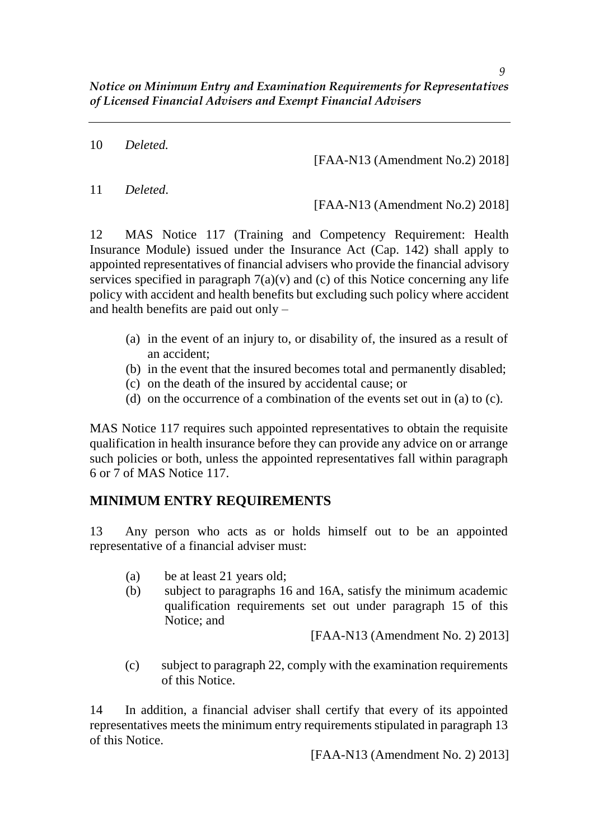10 *Deleted.*

[FAA-N13 (Amendment No.2) 2018]

11 *Deleted*.

[FAA-N13 (Amendment No.2) 2018]

12 MAS Notice 117 (Training and Competency Requirement: Health Insurance Module) issued under the Insurance Act (Cap. 142) shall apply to appointed representatives of financial advisers who provide the financial advisory services specified in paragraph  $7(a)(v)$  and (c) of this Notice concerning any life policy with accident and health benefits but excluding such policy where accident and health benefits are paid out only –

- (a) in the event of an injury to, or disability of, the insured as a result of an accident;
- (b) in the event that the insured becomes total and permanently disabled;
- (c) on the death of the insured by accidental cause; or
- (d) on the occurrence of a combination of the events set out in (a) to (c).

MAS Notice 117 requires such appointed representatives to obtain the requisite qualification in health insurance before they can provide any advice on or arrange such policies or both, unless the appointed representatives fall within paragraph 6 or 7 of MAS Notice 117.

# **MINIMUM ENTRY REQUIREMENTS**

13 Any person who acts as or holds himself out to be an appointed representative of a financial adviser must:

- (a) be at least 21 years old;
- (b) subject to paragraphs 16 and 16A, satisfy the minimum academic qualification requirements set out under paragraph 15 of this Notice; and

[FAA-N13 (Amendment No. 2) 2013]

(c) subject to paragraph 22, comply with the examination requirements of this Notice.

14 In addition, a financial adviser shall certify that every of its appointed representatives meets the minimum entry requirements stipulated in paragraph 13 of this Notice.

[FAA-N13 (Amendment No. 2) 2013]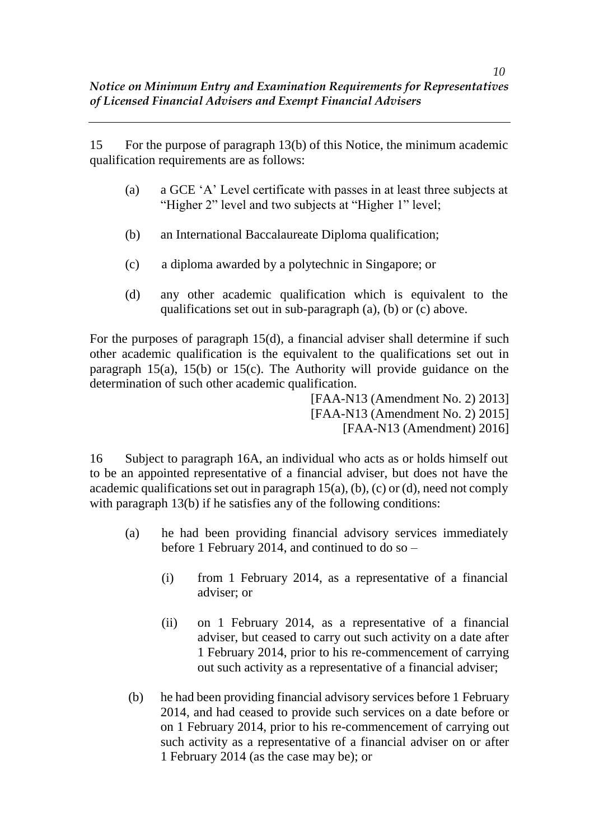15 For the purpose of paragraph 13(b) of this Notice, the minimum academic qualification requirements are as follows:

- (a) a GCE 'A' Level certificate with passes in at least three subjects at "Higher 2" level and two subjects at "Higher 1" level;
- (b) an International Baccalaureate Diploma qualification;
- (c) a diploma awarded by a polytechnic in Singapore; or
- (d) any other academic qualification which is equivalent to the qualifications set out in sub-paragraph (a), (b) or (c) above.

For the purposes of paragraph 15(d), a financial adviser shall determine if such other academic qualification is the equivalent to the qualifications set out in paragraph 15(a), 15(b) or 15(c). The Authority will provide guidance on the determination of such other academic qualification.

[FAA-N13 (Amendment No. 2) 2013] [FAA-N13 (Amendment No. 2) 2015] [FAA-N13 (Amendment) 2016]

16 Subject to paragraph 16A, an individual who acts as or holds himself out to be an appointed representative of a financial adviser, but does not have the academic qualifications set out in paragraph  $15(a)$ , (b), (c) or (d), need not comply with paragraph 13(b) if he satisfies any of the following conditions:

- (a) he had been providing financial advisory services immediately before 1 February 2014, and continued to do so –
	- (i) from 1 February 2014, as a representative of a financial adviser; or
	- (ii) on 1 February 2014, as a representative of a financial adviser, but ceased to carry out such activity on a date after 1 February 2014, prior to his re-commencement of carrying out such activity as a representative of a financial adviser;
- (b) he had been providing financial advisory services before 1 February 2014, and had ceased to provide such services on a date before or on 1 February 2014, prior to his re-commencement of carrying out such activity as a representative of a financial adviser on or after 1 February 2014 (as the case may be); or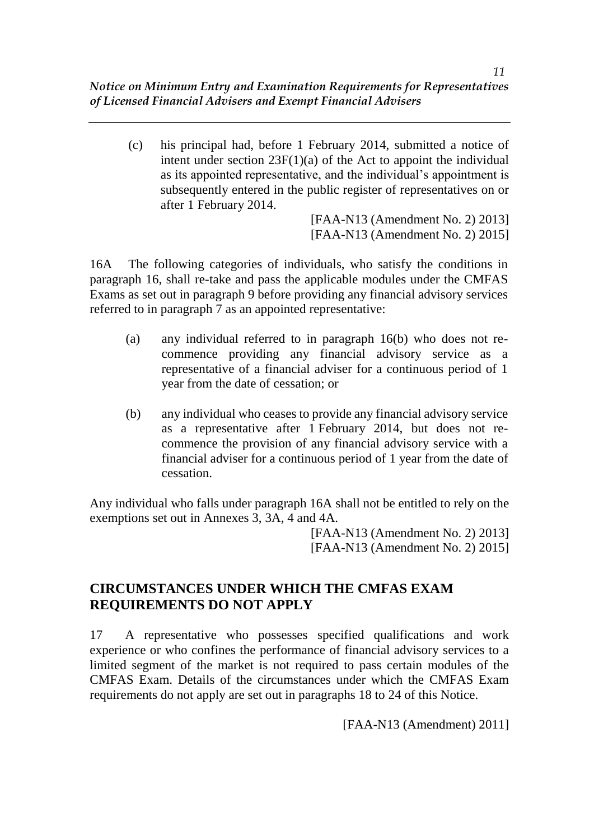(c) his principal had, before 1 February 2014, submitted a notice of intent under section 23F(1)(a) of the Act to appoint the individual as its appointed representative, and the individual's appointment is subsequently entered in the public register of representatives on or after 1 February 2014.

> [FAA-N13 (Amendment No. 2) 2013] [FAA-N13 (Amendment No. 2) 2015]

16A The following categories of individuals, who satisfy the conditions in paragraph 16, shall re-take and pass the applicable modules under the CMFAS Exams as set out in paragraph 9 before providing any financial advisory services referred to in paragraph 7 as an appointed representative:

- (a) any individual referred to in paragraph 16(b) who does not recommence providing any financial advisory service as a representative of a financial adviser for a continuous period of 1 year from the date of cessation; or
- (b) any individual who ceases to provide any financial advisory service as a representative after 1 February 2014, but does not recommence the provision of any financial advisory service with a financial adviser for a continuous period of 1 year from the date of cessation.

Any individual who falls under paragraph 16A shall not be entitled to rely on the exemptions set out in Annexes 3, 3A, 4 and 4A.

> [FAA-N13 (Amendment No. 2) 2013] [FAA-N13 (Amendment No. 2) 2015]

# **CIRCUMSTANCES UNDER WHICH THE CMFAS EXAM REQUIREMENTS DO NOT APPLY**

17 A representative who possesses specified qualifications and work experience or who confines the performance of financial advisory services to a limited segment of the market is not required to pass certain modules of the CMFAS Exam. Details of the circumstances under which the CMFAS Exam requirements do not apply are set out in paragraphs 18 to 24 of this Notice.

[FAA-N13 (Amendment) 2011]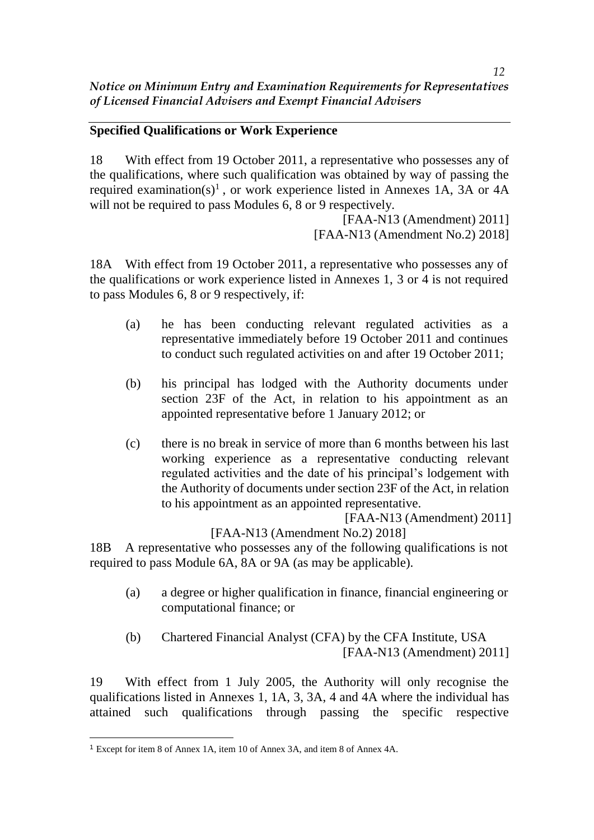# **Specified Qualifications or Work Experience**

18 With effect from 19 October 2011, a representative who possesses any of the qualifications, where such qualification was obtained by way of passing the required examination(s)<sup>1</sup>, or work experience listed in Annexes 1A, 3A or 4A will not be required to pass Modules 6, 8 or 9 respectively.

[FAA-N13 (Amendment) 2011] [FAA-N13 (Amendment No.2) 2018]

18A With effect from 19 October 2011, a representative who possesses any of the qualifications or work experience listed in Annexes 1, 3 or 4 is not required to pass Modules 6, 8 or 9 respectively, if:

- (a) he has been conducting relevant regulated activities as a representative immediately before 19 October 2011 and continues to conduct such regulated activities on and after 19 October 2011;
- (b) his principal has lodged with the Authority documents under section 23F of the Act, in relation to his appointment as an appointed representative before 1 January 2012; or
- (c) there is no break in service of more than 6 months between his last working experience as a representative conducting relevant regulated activities and the date of his principal's lodgement with the Authority of documents under section 23F of the Act, in relation to his appointment as an appointed representative.

[FAA-N13 (Amendment) 2011]

[FAA-N13 (Amendment No.2) 2018]

18B A representative who possesses any of the following qualifications is not required to pass Module 6A, 8A or 9A (as may be applicable).

- (a) a degree or higher qualification in finance, financial engineering or computational finance; or
- (b) Chartered Financial Analyst (CFA) by the CFA Institute, USA [FAA-N13 (Amendment) 2011]

19 With effect from 1 July 2005, the Authority will only recognise the qualifications listed in Annexes 1, 1A, 3, 3A, 4 and 4A where the individual has attained such qualifications through passing the specific respective

 $\overline{a}$ <sup>1</sup> Except for item 8 of Annex 1A, item 10 of Annex 3A, and item 8 of Annex 4A.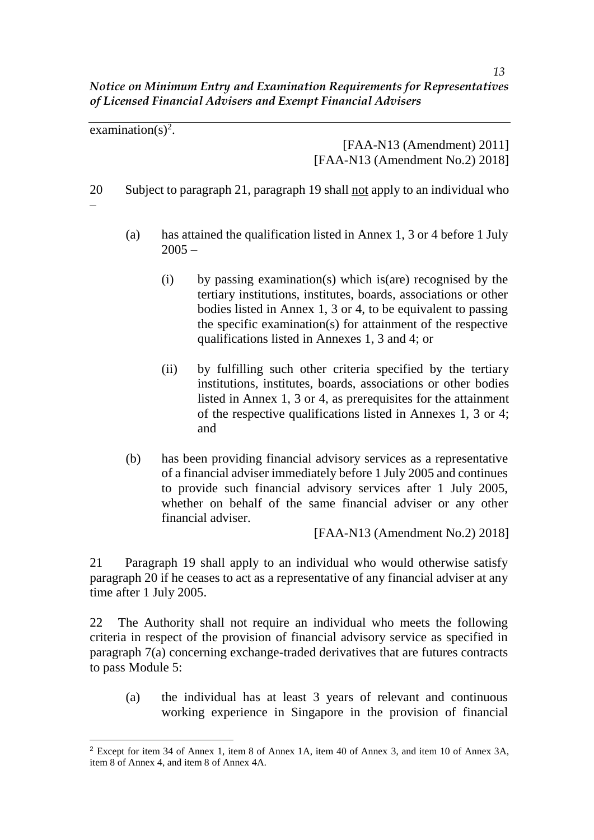examination(s)<sup>2</sup>.

[FAA-N13 (Amendment) 2011] [FAA-N13 (Amendment No.2) 2018]

20 Subject to paragraph 21, paragraph 19 shall not apply to an individual who

–

 $\overline{a}$ 

- (a) has attained the qualification listed in Annex 1, 3 or 4 before 1 July  $2005 -$ 
	- (i) by passing examination(s) which is(are) recognised by the tertiary institutions, institutes, boards, associations or other bodies listed in Annex 1, 3 or 4, to be equivalent to passing the specific examination(s) for attainment of the respective qualifications listed in Annexes 1, 3 and 4; or
	- (ii) by fulfilling such other criteria specified by the tertiary institutions, institutes, boards, associations or other bodies listed in Annex 1, 3 or 4, as prerequisites for the attainment of the respective qualifications listed in Annexes 1, 3 or 4; and
- (b) has been providing financial advisory services as a representative of a financial adviser immediately before 1 July 2005 and continues to provide such financial advisory services after 1 July 2005, whether on behalf of the same financial adviser or any other financial adviser.

[FAA-N13 (Amendment No.2) 2018]

21 Paragraph 19 shall apply to an individual who would otherwise satisfy paragraph 20 if he ceases to act as a representative of any financial adviser at any time after 1 July 2005.

22 The Authority shall not require an individual who meets the following criteria in respect of the provision of financial advisory service as specified in paragraph 7(a) concerning exchange-traded derivatives that are futures contracts to pass Module 5:

(a) the individual has at least 3 years of relevant and continuous working experience in Singapore in the provision of financial

<sup>2</sup> Except for item 34 of Annex 1, item 8 of Annex 1A, item 40 of Annex 3, and item 10 of Annex 3A, item 8 of Annex 4, and item 8 of Annex 4A.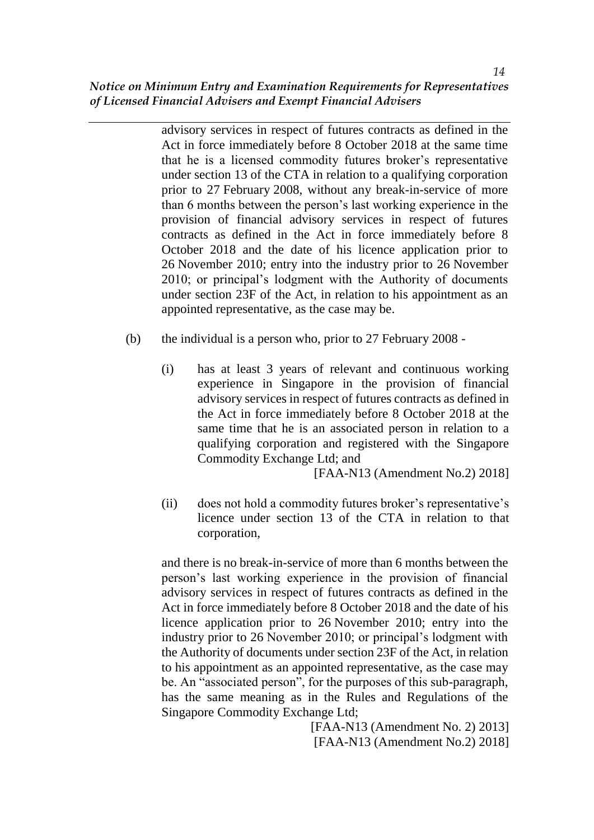advisory services in respect of futures contracts as defined in the Act in force immediately before 8 October 2018 at the same time that he is a licensed commodity futures broker's representative under section 13 of the CTA in relation to a qualifying corporation prior to 27 February 2008, without any break-in-service of more than 6 months between the person's last working experience in the provision of financial advisory services in respect of futures contracts as defined in the Act in force immediately before 8 October 2018 and the date of his licence application prior to 26 November 2010; entry into the industry prior to 26 November 2010; or principal's lodgment with the Authority of documents under section 23F of the Act, in relation to his appointment as an appointed representative, as the case may be.

- (b) the individual is a person who, prior to 27 February 2008
	- (i) has at least 3 years of relevant and continuous working experience in Singapore in the provision of financial advisory services in respect of futures contracts as defined in the Act in force immediately before 8 October 2018 at the same time that he is an associated person in relation to a qualifying corporation and registered with the Singapore Commodity Exchange Ltd; and

[FAA-N13 (Amendment No.2) 2018]

(ii) does not hold a commodity futures broker's representative's licence under section 13 of the CTA in relation to that corporation,

and there is no break-in-service of more than 6 months between the person's last working experience in the provision of financial advisory services in respect of futures contracts as defined in the Act in force immediately before 8 October 2018 and the date of his licence application prior to 26 November 2010; entry into the industry prior to 26 November 2010; or principal's lodgment with the Authority of documents under section 23F of the Act, in relation to his appointment as an appointed representative, as the case may be. An "associated person", for the purposes of this sub-paragraph, has the same meaning as in the Rules and Regulations of the Singapore Commodity Exchange Ltd;

[FAA-N13 (Amendment No. 2) 2013] [FAA-N13 (Amendment No.2) 2018]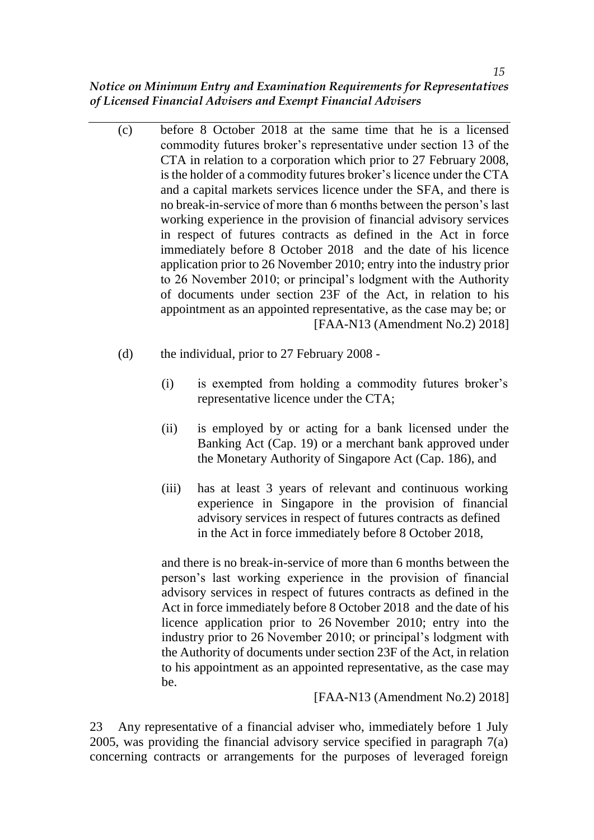- (c) before 8 October 2018 at the same time that he is a licensed commodity futures broker's representative under section 13 of the CTA in relation to a corporation which prior to 27 February 2008, is the holder of a commodity futures broker's licence under the CTA and a capital markets services licence under the SFA, and there is no break-in-service of more than 6 months between the person's last working experience in the provision of financial advisory services in respect of futures contracts as defined in the Act in force immediately before 8 October 2018 and the date of his licence application prior to 26 November 2010; entry into the industry prior to 26 November 2010; or principal's lodgment with the Authority of documents under section 23F of the Act, in relation to his appointment as an appointed representative, as the case may be; or [FAA-N13 (Amendment No.2) 2018]
- (d) the individual, prior to 27 February 2008
	- (i) is exempted from holding a commodity futures broker's representative licence under the CTA;
	- (ii) is employed by or acting for a bank licensed under the Banking Act (Cap. 19) or a merchant bank approved under the Monetary Authority of Singapore Act (Cap. 186), and
	- (iii) has at least 3 years of relevant and continuous working experience in Singapore in the provision of financial advisory services in respect of futures contracts as defined in the Act in force immediately before 8 October 2018,

and there is no break-in-service of more than 6 months between the person's last working experience in the provision of financial advisory services in respect of futures contracts as defined in the Act in force immediately before 8 October 2018 and the date of his licence application prior to 26 November 2010; entry into the industry prior to 26 November 2010; or principal's lodgment with the Authority of documents under section 23F of the Act, in relation to his appointment as an appointed representative, as the case may be.

[FAA-N13 (Amendment No.2) 2018]

23 Any representative of a financial adviser who, immediately before 1 July 2005, was providing the financial advisory service specified in paragraph 7(a) concerning contracts or arrangements for the purposes of leveraged foreign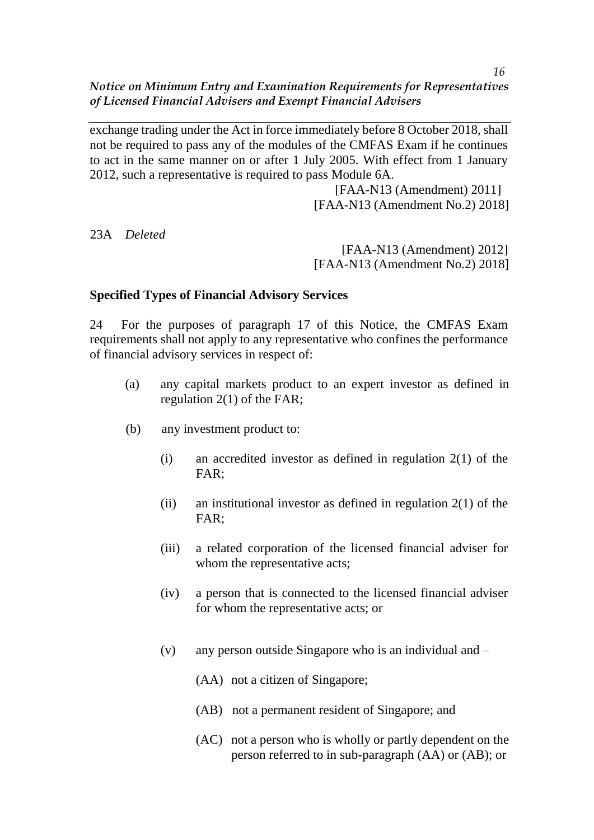exchange trading under the Act in force immediately before 8 October 2018, shall not be required to pass any of the modules of the CMFAS Exam if he continues to act in the same manner on or after 1 July 2005. With effect from 1 January 2012, such a representative is required to pass Module 6A.

> [FAA-N13 (Amendment) 2011] [FAA-N13 (Amendment No.2) 2018]

23A *Deleted*

[FAA-N13 (Amendment) 2012] [FAA-N13 (Amendment No.2) 2018]

#### **Specified Types of Financial Advisory Services**

24 For the purposes of paragraph 17 of this Notice, the CMFAS Exam requirements shall not apply to any representative who confines the performance of financial advisory services in respect of:

- (a) any capital markets product to an expert investor as defined in regulation 2(1) of the FAR;
- (b) any investment product to:
	- (i) an accredited investor as defined in regulation 2(1) of the FAR;
	- (ii) an institutional investor as defined in regulation  $2(1)$  of the FAR;
	- (iii) a related corporation of the licensed financial adviser for whom the representative acts:
	- (iv) a person that is connected to the licensed financial adviser for whom the representative acts; or
	- (v) any person outside Singapore who is an individual and
		- (AA) not a citizen of Singapore;
		- (AB) not a permanent resident of Singapore; and
		- (AC) not a person who is wholly or partly dependent on the person referred to in sub-paragraph (AA) or (AB); or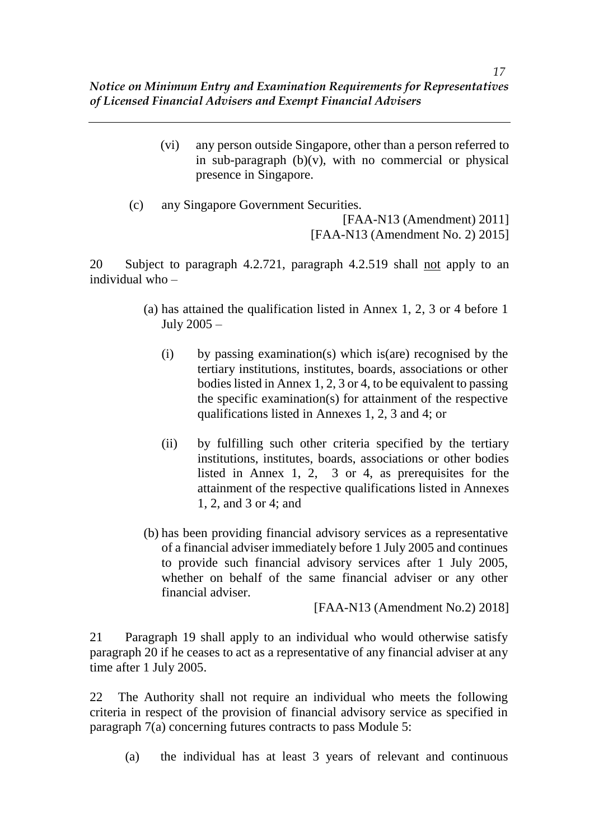> (vi) any person outside Singapore, other than a person referred to in sub-paragraph  $(b)(v)$ , with no commercial or physical presence in Singapore.

(c) any Singapore Government Securities. [FAA-N13 (Amendment) 2011] [FAA-N13 (Amendment No. 2) 2015]

20 Subject to paragraph 4.2.721, paragraph 4.2.519 shall not apply to an individual who –

- (a) has attained the qualification listed in Annex 1, 2, 3 or 4 before 1 July 2005 –
	- (i) by passing examination(s) which is(are) recognised by the tertiary institutions, institutes, boards, associations or other bodies listed in Annex 1, 2, 3 or 4, to be equivalent to passing the specific examination(s) for attainment of the respective qualifications listed in Annexes 1, 2, 3 and 4; or
	- (ii) by fulfilling such other criteria specified by the tertiary institutions, institutes, boards, associations or other bodies listed in Annex 1, 2, 3 or 4, as prerequisites for the attainment of the respective qualifications listed in Annexes 1, 2, and 3 or 4; and
- (b) has been providing financial advisory services as a representative of a financial adviser immediately before 1 July 2005 and continues to provide such financial advisory services after 1 July 2005, whether on behalf of the same financial adviser or any other financial adviser.

[FAA-N13 (Amendment No.2) 2018]

21 Paragraph 19 shall apply to an individual who would otherwise satisfy paragraph 20 if he ceases to act as a representative of any financial adviser at any time after 1 July 2005.

22 The Authority shall not require an individual who meets the following criteria in respect of the provision of financial advisory service as specified in paragraph 7(a) concerning futures contracts to pass Module 5:

(a) the individual has at least 3 years of relevant and continuous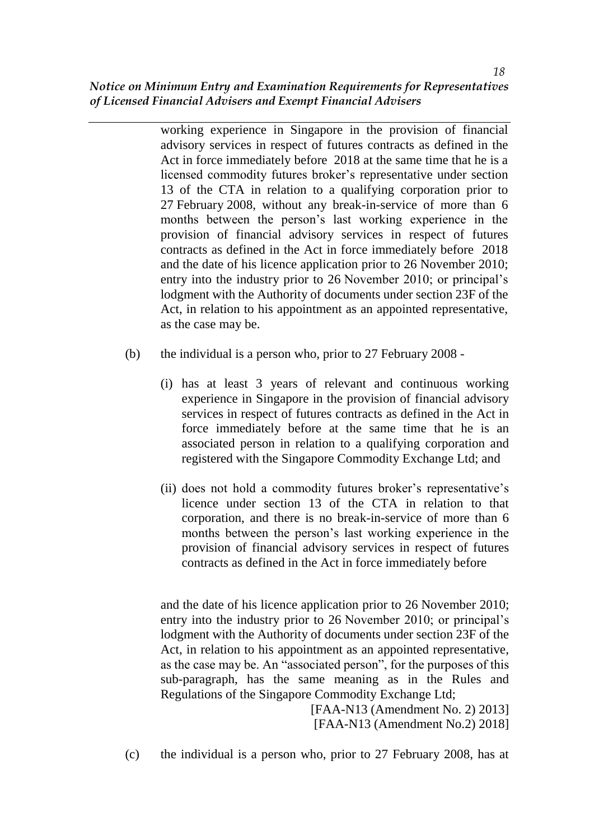working experience in Singapore in the provision of financial advisory services in respect of futures contracts as defined in the Act in force immediately before 2018 at the same time that he is a licensed commodity futures broker's representative under section 13 of the CTA in relation to a qualifying corporation prior to 27 February 2008, without any break-in-service of more than 6 months between the person's last working experience in the provision of financial advisory services in respect of futures contracts as defined in the Act in force immediately before 2018 and the date of his licence application prior to 26 November 2010; entry into the industry prior to 26 November 2010; or principal's lodgment with the Authority of documents under section 23F of the Act, in relation to his appointment as an appointed representative, as the case may be.

- (b) the individual is a person who, prior to 27 February 2008
	- (i) has at least 3 years of relevant and continuous working experience in Singapore in the provision of financial advisory services in respect of futures contracts as defined in the Act in force immediately before at the same time that he is an associated person in relation to a qualifying corporation and registered with the Singapore Commodity Exchange Ltd; and
	- (ii) does not hold a commodity futures broker's representative's licence under section 13 of the CTA in relation to that corporation, and there is no break-in-service of more than 6 months between the person's last working experience in the provision of financial advisory services in respect of futures contracts as defined in the Act in force immediately before

and the date of his licence application prior to 26 November 2010; entry into the industry prior to 26 November 2010; or principal's lodgment with the Authority of documents under section 23F of the Act, in relation to his appointment as an appointed representative, as the case may be. An "associated person", for the purposes of this sub-paragraph, has the same meaning as in the Rules and Regulations of the Singapore Commodity Exchange Ltd;

> [FAA-N13 (Amendment No. 2) 2013] [FAA-N13 (Amendment No.2) 2018]

(c) the individual is a person who, prior to 27 February 2008, has at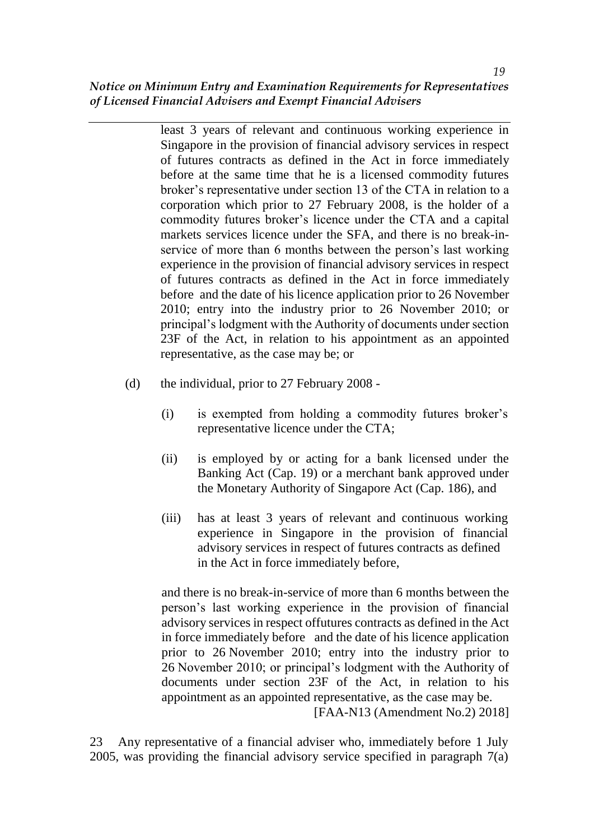least 3 years of relevant and continuous working experience in Singapore in the provision of financial advisory services in respect of futures contracts as defined in the Act in force immediately before at the same time that he is a licensed commodity futures broker's representative under section 13 of the CTA in relation to a corporation which prior to 27 February 2008, is the holder of a commodity futures broker's licence under the CTA and a capital markets services licence under the SFA, and there is no break-inservice of more than 6 months between the person's last working experience in the provision of financial advisory services in respect of futures contracts as defined in the Act in force immediately before and the date of his licence application prior to 26 November 2010; entry into the industry prior to 26 November 2010; or principal's lodgment with the Authority of documents under section 23F of the Act, in relation to his appointment as an appointed representative, as the case may be; or

- (d) the individual, prior to 27 February 2008
	- (i) is exempted from holding a commodity futures broker's representative licence under the CTA;
	- (ii) is employed by or acting for a bank licensed under the Banking Act (Cap. 19) or a merchant bank approved under the Monetary Authority of Singapore Act (Cap. 186), and
	- (iii) has at least 3 years of relevant and continuous working experience in Singapore in the provision of financial advisory services in respect of futures contracts as defined in the Act in force immediately before,

and there is no break-in-service of more than 6 months between the person's last working experience in the provision of financial advisory services in respect offutures contracts as defined in the Act in force immediately before and the date of his licence application prior to 26 November 2010; entry into the industry prior to 26 November 2010; or principal's lodgment with the Authority of documents under section 23F of the Act, in relation to his appointment as an appointed representative, as the case may be. [FAA-N13 (Amendment No.2) 2018]

23 Any representative of a financial adviser who, immediately before 1 July 2005, was providing the financial advisory service specified in paragraph 7(a)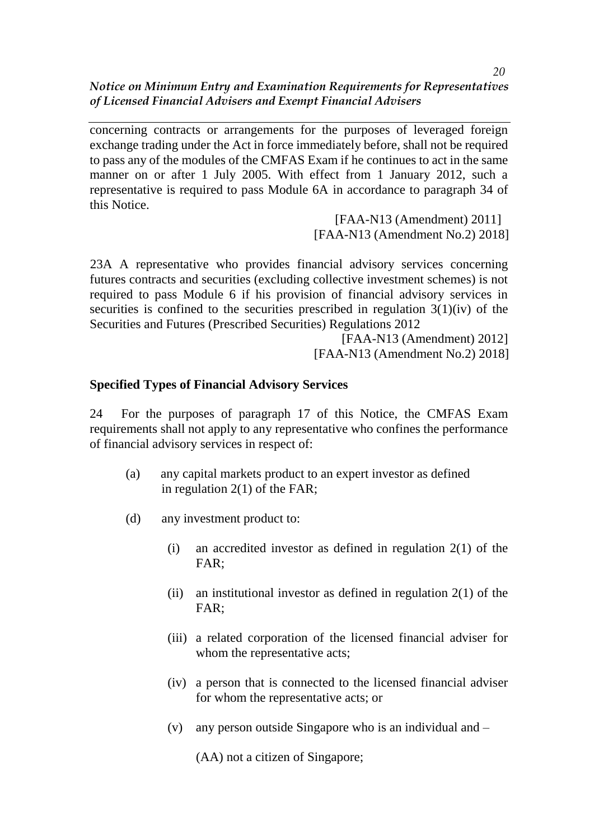concerning contracts or arrangements for the purposes of leveraged foreign exchange trading under the Act in force immediately before, shall not be required to pass any of the modules of the CMFAS Exam if he continues to act in the same manner on or after 1 July 2005. With effect from 1 January 2012, such a representative is required to pass Module 6A in accordance to paragraph 34 of this Notice.

> [FAA-N13 (Amendment) 2011] [FAA-N13 (Amendment No.2) 2018]

23A A representative who provides financial advisory services concerning futures contracts and securities (excluding collective investment schemes) is not required to pass Module 6 if his provision of financial advisory services in securities is confined to the securities prescribed in regulation  $3(1)(iv)$  of the Securities and Futures (Prescribed Securities) Regulations 2012

> [FAA-N13 (Amendment) 2012] [FAA-N13 (Amendment No.2) 2018]

# **Specified Types of Financial Advisory Services**

24 For the purposes of paragraph 17 of this Notice, the CMFAS Exam requirements shall not apply to any representative who confines the performance of financial advisory services in respect of:

- (a) any capital markets product to an expert investor as defined in regulation 2(1) of the FAR;
- (d) any investment product to:
	- (i) an accredited investor as defined in regulation  $2(1)$  of the FAR;
	- (ii) an institutional investor as defined in regulation  $2(1)$  of the FAR;
	- (iii) a related corporation of the licensed financial adviser for whom the representative acts;
	- (iv) a person that is connected to the licensed financial adviser for whom the representative acts; or
	- (v) any person outside Singapore who is an individual and –

(AA) not a citizen of Singapore;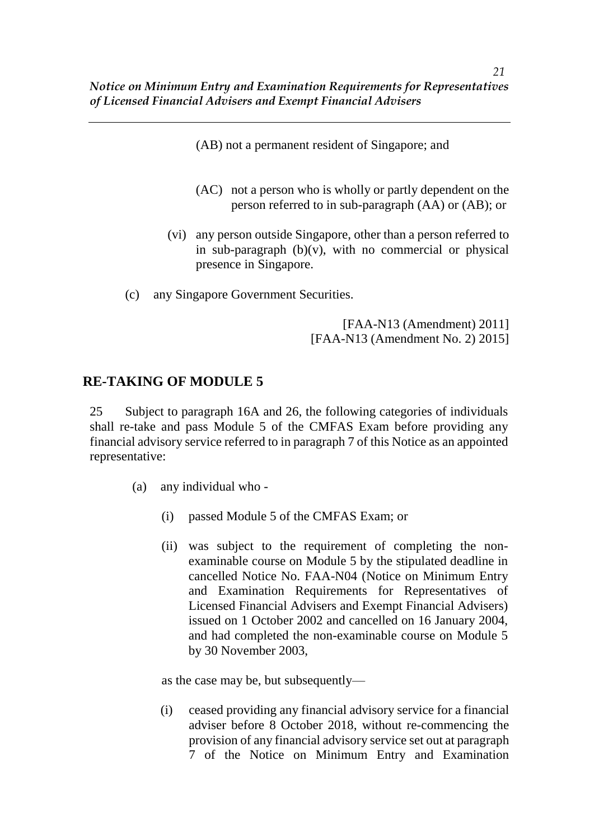- (AB) not a permanent resident of Singapore; and
- (AC) not a person who is wholly or partly dependent on the person referred to in sub-paragraph (AA) or (AB); or
- (vi) any person outside Singapore, other than a person referred to in sub-paragraph  $(b)(v)$ , with no commercial or physical presence in Singapore.
- (c) any Singapore Government Securities.

[FAA-N13 (Amendment) 2011] [FAA-N13 (Amendment No. 2) 2015]

# **RE-TAKING OF MODULE 5**

25 Subject to paragraph 16A and 26, the following categories of individuals shall re-take and pass Module 5 of the CMFAS Exam before providing any financial advisory service referred to in paragraph 7 of this Notice as an appointed representative:

- (a) any individual who
	- (i) passed Module 5 of the CMFAS Exam; or
	- (ii) was subject to the requirement of completing the nonexaminable course on Module 5 by the stipulated deadline in cancelled Notice No. FAA-N04 (Notice on Minimum Entry and Examination Requirements for Representatives of Licensed Financial Advisers and Exempt Financial Advisers) issued on 1 October 2002 and cancelled on 16 January 2004, and had completed the non-examinable course on Module 5 by 30 November 2003,

as the case may be, but subsequently—

(i) ceased providing any financial advisory service for a financial adviser before 8 October 2018, without re-commencing the provision of any financial advisory service set out at paragraph 7 of the Notice on Minimum Entry and Examination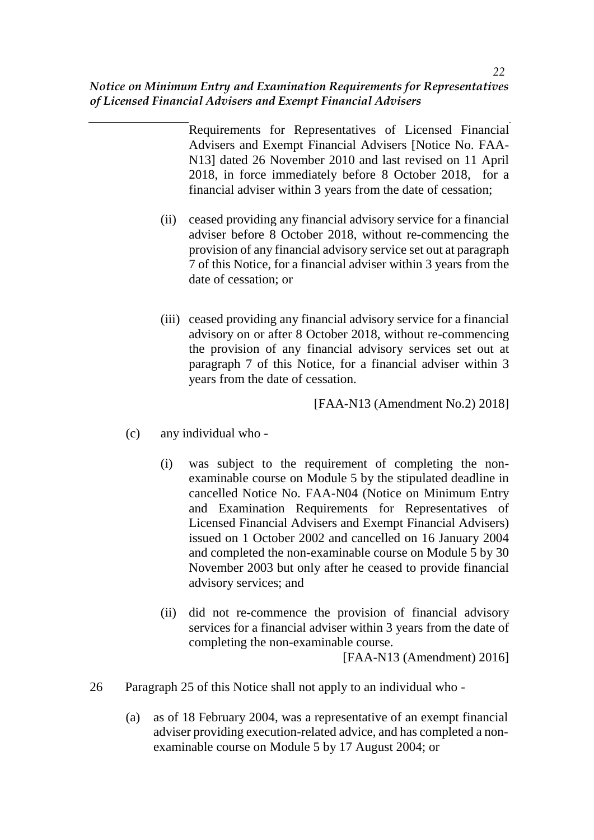Requirements for Representatives of Licensed Financial Advisers and Exempt Financial Advisers [Notice No. FAA-N13] dated 26 November 2010 and last revised on 11 April 2018, in force immediately before 8 October 2018, for a financial adviser within 3 years from the date of cessation;

- (ii) ceased providing any financial advisory service for a financial adviser before 8 October 2018, without re-commencing the provision of any financial advisory service set out at paragraph 7 of this Notice, for a financial adviser within 3 years from the date of cessation; or
- (iii) ceased providing any financial advisory service for a financial advisory on or after 8 October 2018, without re-commencing the provision of any financial advisory services set out at paragraph 7 of this Notice, for a financial adviser within 3 years from the date of cessation.

[FAA-N13 (Amendment No.2) 2018]

- (c) any individual who
	- (i) was subject to the requirement of completing the nonexaminable course on Module 5 by the stipulated deadline in cancelled Notice No. FAA-N04 (Notice on Minimum Entry and Examination Requirements for Representatives of Licensed Financial Advisers and Exempt Financial Advisers) issued on 1 October 2002 and cancelled on 16 January 2004 and completed the non-examinable course on Module 5 by 30 November 2003 but only after he ceased to provide financial advisory services; and
	- (ii) did not re-commence the provision of financial advisory services for a financial adviser within 3 years from the date of completing the non-examinable course.

[FAA-N13 (Amendment) 2016]

- 26 Paragraph 25 of this Notice shall not apply to an individual who
	- (a) as of 18 February 2004, was a representative of an exempt financial adviser providing execution-related advice, and has completed a nonexaminable course on Module 5 by 17 August 2004; or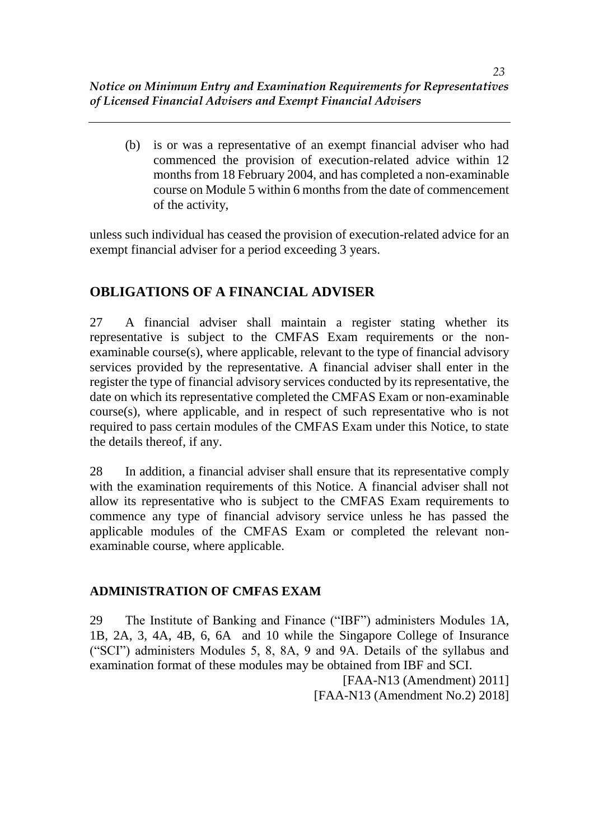(b) is or was a representative of an exempt financial adviser who had commenced the provision of execution-related advice within 12 months from 18 February 2004, and has completed a non-examinable course on Module 5 within 6 months from the date of commencement of the activity,

unless such individual has ceased the provision of execution-related advice for an exempt financial adviser for a period exceeding 3 years.

# **OBLIGATIONS OF A FINANCIAL ADVISER**

27 A financial adviser shall maintain a register stating whether its representative is subject to the CMFAS Exam requirements or the nonexaminable course(s), where applicable, relevant to the type of financial advisory services provided by the representative. A financial adviser shall enter in the register the type of financial advisory services conducted by its representative, the date on which its representative completed the CMFAS Exam or non-examinable course(s), where applicable, and in respect of such representative who is not required to pass certain modules of the CMFAS Exam under this Notice, to state the details thereof, if any.

28 In addition, a financial adviser shall ensure that its representative comply with the examination requirements of this Notice. A financial adviser shall not allow its representative who is subject to the CMFAS Exam requirements to commence any type of financial advisory service unless he has passed the applicable modules of the CMFAS Exam or completed the relevant nonexaminable course, where applicable.

# **ADMINISTRATION OF CMFAS EXAM**

29 The Institute of Banking and Finance ("IBF") administers Modules 1A, 1B, 2A, 3, 4A, 4B, 6, 6A and 10 while the Singapore College of Insurance ("SCI") administers Modules 5, 8, 8A, 9 and 9A. Details of the syllabus and examination format of these modules may be obtained from IBF and SCI.

[FAA-N13 (Amendment) 2011] [FAA-N13 (Amendment No.2) 2018]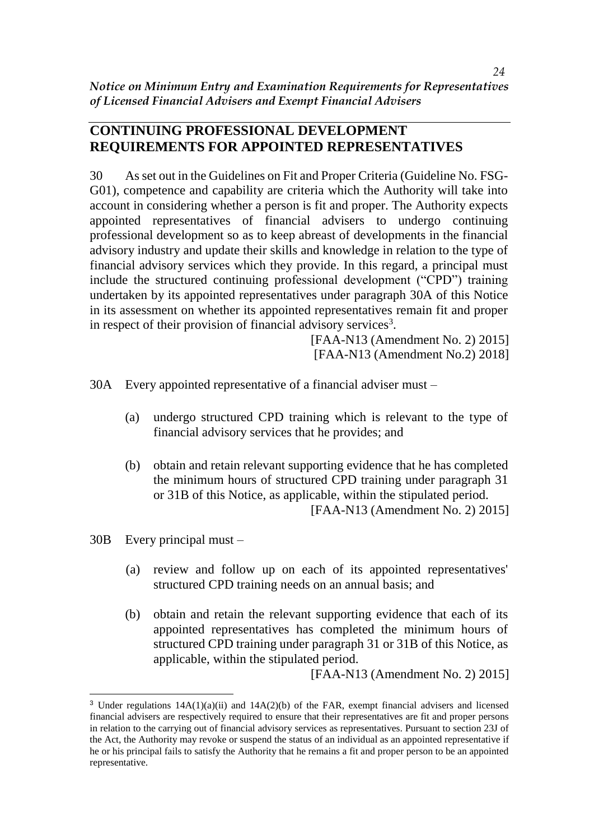### **CONTINUING PROFESSIONAL DEVELOPMENT REQUIREMENTS FOR APPOINTED REPRESENTATIVES**

30 As set out in the Guidelines on Fit and Proper Criteria (Guideline No. FSG-G01), competence and capability are criteria which the Authority will take into account in considering whether a person is fit and proper. The Authority expects appointed representatives of financial advisers to undergo continuing professional development so as to keep abreast of developments in the financial advisory industry and update their skills and knowledge in relation to the type of financial advisory services which they provide. In this regard, a principal must include the structured continuing professional development ("CPD") training undertaken by its appointed representatives under paragraph 30A of this Notice in its assessment on whether its appointed representatives remain fit and proper in respect of their provision of financial advisory services<sup>3</sup>.

> [FAA-N13 (Amendment No. 2) 2015] [FAA-N13 (Amendment No.2) 2018]

30A Every appointed representative of a financial adviser must –

- (a) undergo structured CPD training which is relevant to the type of financial advisory services that he provides; and
- (b) obtain and retain relevant supporting evidence that he has completed the minimum hours of structured CPD training under paragraph 31 or 31B of this Notice, as applicable, within the stipulated period. [FAA-N13 (Amendment No. 2) 2015]

30B Every principal must –

 $\overline{\phantom{a}}$ 

- (a) review and follow up on each of its appointed representatives' structured CPD training needs on an annual basis; and
- (b) obtain and retain the relevant supporting evidence that each of its appointed representatives has completed the minimum hours of structured CPD training under paragraph 31 or 31B of this Notice, as applicable, within the stipulated period.

[FAA-N13 (Amendment No. 2) 2015]

<sup>&</sup>lt;sup>3</sup> Under regulations  $14A(1)(a)(ii)$  and  $14A(2)(b)$  of the FAR, exempt financial advisers and licensed financial advisers are respectively required to ensure that their representatives are fit and proper persons in relation to the carrying out of financial advisory services as representatives. Pursuant to section 23J of the Act, the Authority may revoke or suspend the status of an individual as an appointed representative if he or his principal fails to satisfy the Authority that he remains a fit and proper person to be an appointed representative.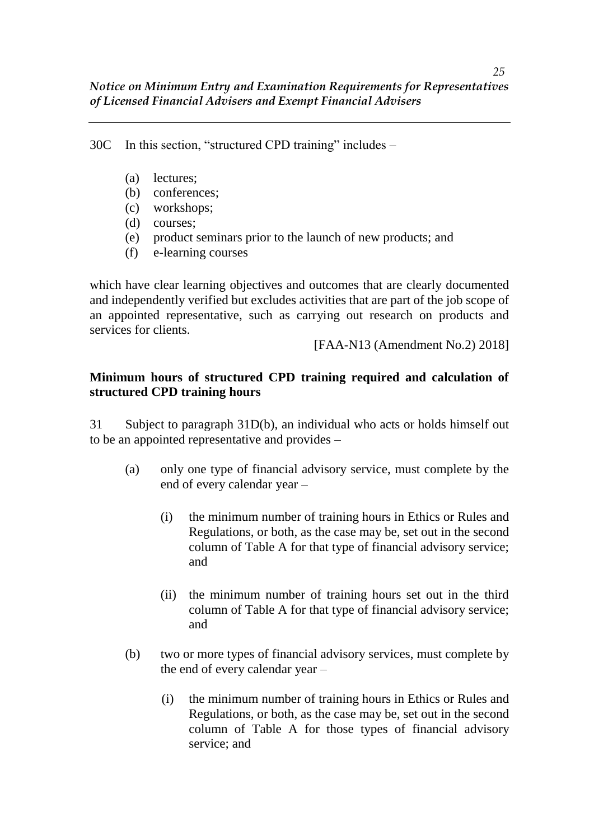30C In this section, "structured CPD training" includes –

- (a) lectures;
- (b) conferences:
- (c) workshops;
- (d) courses;
- (e) product seminars prior to the launch of new products; and
- (f) e-learning courses

which have clear learning objectives and outcomes that are clearly documented and independently verified but excludes activities that are part of the job scope of an appointed representative, such as carrying out research on products and services for clients.

[FAA-N13 (Amendment No.2) 2018]

### **Minimum hours of structured CPD training required and calculation of structured CPD training hours**

31 Subject to paragraph 31D(b), an individual who acts or holds himself out to be an appointed representative and provides –

- (a) only one type of financial advisory service, must complete by the end of every calendar year –
	- (i) the minimum number of training hours in Ethics or Rules and Regulations, or both, as the case may be, set out in the second column of Table A for that type of financial advisory service; and
	- (ii) the minimum number of training hours set out in the third column of Table A for that type of financial advisory service; and
- (b) two or more types of financial advisory services, must complete by the end of every calendar year –
	- (i) the minimum number of training hours in Ethics or Rules and Regulations, or both, as the case may be, set out in the second column of Table A for those types of financial advisory service; and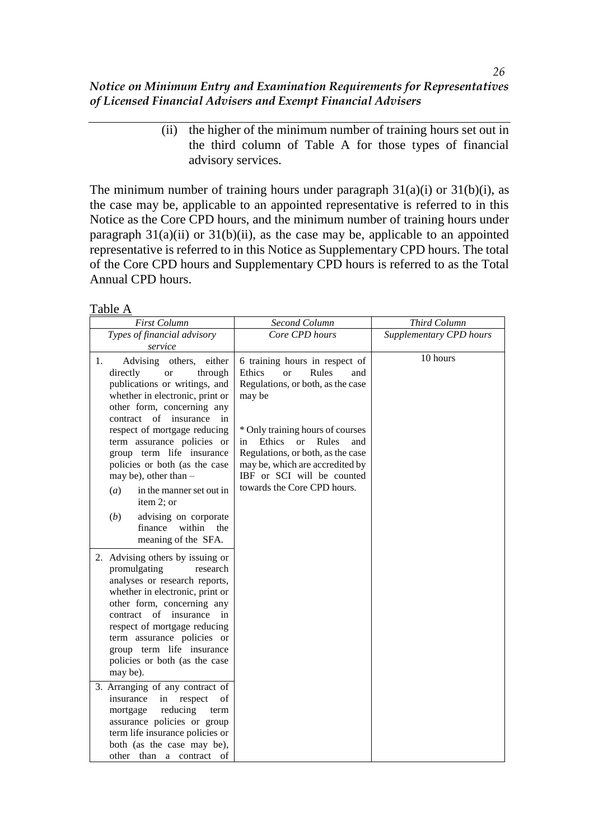> (ii) the higher of the minimum number of training hours set out in the third column of Table A for those types of financial advisory services.

The minimum number of training hours under paragraph  $31(a)(i)$  or  $31(b)(i)$ , as the case may be, applicable to an appointed representative is referred to in this Notice as the Core CPD hours, and the minimum number of training hours under paragraph  $31(a)(ii)$  or  $31(b)(ii)$ , as the case may be, applicable to an appointed representative is referred to in this Notice as Supplementary CPD hours. The total of the Core CPD hours and Supplementary CPD hours is referred to as the Total Annual CPD hours.

Table A

| <b>First Column</b>                                                                                                                                                                                                                                                                                                                                                                                                                                                | Second Column                                                                                                                                                                                                                                                                                                                                               | Third Column            |
|--------------------------------------------------------------------------------------------------------------------------------------------------------------------------------------------------------------------------------------------------------------------------------------------------------------------------------------------------------------------------------------------------------------------------------------------------------------------|-------------------------------------------------------------------------------------------------------------------------------------------------------------------------------------------------------------------------------------------------------------------------------------------------------------------------------------------------------------|-------------------------|
| Types of financial advisory                                                                                                                                                                                                                                                                                                                                                                                                                                        | Core CPD hours                                                                                                                                                                                                                                                                                                                                              | Supplementary CPD hours |
| service<br>1.<br>Advising others,<br>either<br>directly<br>through<br><sub>or</sub><br>publications or writings, and<br>whether in electronic, print or<br>other form, concerning any<br>of<br>insurance<br>contract<br>in<br>respect of mortgage reducing<br>term assurance policies or<br>group term life insurance<br>policies or both (as the case<br>may be), other than $-$<br>in the manner set out in<br>(a)<br>item 2; or<br>(b)<br>advising on corporate | 6 training hours in respect of<br>Rules<br><b>Ethics</b><br><sub>or</sub><br>and<br>Regulations, or both, as the case<br>may be<br>* Only training hours of courses<br><b>Ethics</b><br>$\alpha$<br>Rules<br>in<br>and<br>Regulations, or both, as the case<br>may be, which are accredited by<br>IBF or SCI will be counted<br>towards the Core CPD hours. | 10 hours                |
| within<br>finance<br>the<br>meaning of the SFA.<br>2. Advising others by issuing or<br>promulgating<br>research<br>analyses or research reports,<br>whether in electronic, print or<br>other form, concerning any<br>of<br>contract<br>insurance<br>in<br>respect of mortgage reducing<br>term assurance policies or<br>group term life insurance<br>policies or both (as the case<br>may be).                                                                     |                                                                                                                                                                                                                                                                                                                                                             |                         |
| 3. Arranging of any contract of<br>insurance<br>respect<br>of<br>in<br>reducing<br>mortgage<br>term<br>assurance policies or group<br>term life insurance policies or<br>both (as the case may be),<br>other than a contract<br>of                                                                                                                                                                                                                                 |                                                                                                                                                                                                                                                                                                                                                             |                         |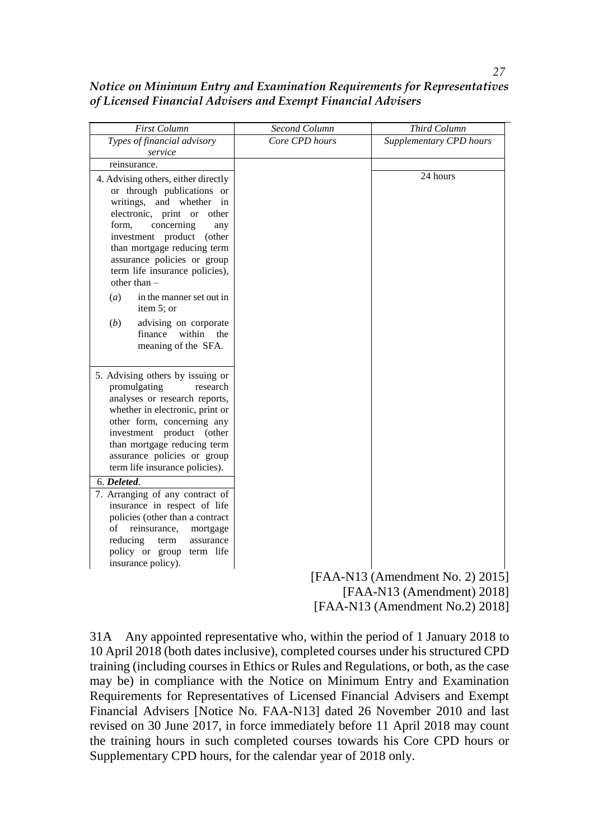| Notice on Minimum Entry and Examination Requirements for Representatives |  |
|--------------------------------------------------------------------------|--|
| of Licensed Financial Advisers and Exempt Financial Advisers             |  |

| First Column                                                                                                                                                                                                                                                                                                                                                    | Second Column  | Third Column            |
|-----------------------------------------------------------------------------------------------------------------------------------------------------------------------------------------------------------------------------------------------------------------------------------------------------------------------------------------------------------------|----------------|-------------------------|
| Types of financial advisory                                                                                                                                                                                                                                                                                                                                     | Core CPD hours | Supplementary CPD hours |
| service                                                                                                                                                                                                                                                                                                                                                         |                |                         |
| reinsurance.                                                                                                                                                                                                                                                                                                                                                    |                |                         |
| 4. Advising others, either directly<br>or through publications or<br>writings, and whether<br>in<br>electronic, print or<br>other<br>concerning<br>form,<br>any<br>investment product (other<br>than mortgage reducing term<br>assurance policies or group<br>term life insurance policies),<br>other than $-$<br>(a)<br>in the manner set out in<br>item 5; or |                | 24 hours                |
| advising on corporate<br>(b)<br>within<br>finance<br>the<br>meaning of the SFA.                                                                                                                                                                                                                                                                                 |                |                         |
| 5. Advising others by issuing or<br>promulgating<br>research<br>analyses or research reports,<br>whether in electronic, print or<br>other form, concerning any<br>investment product (other<br>than mortgage reducing term<br>assurance policies or group<br>term life insurance policies).                                                                     |                |                         |
| 6. Deleted.                                                                                                                                                                                                                                                                                                                                                     |                |                         |
| 7. Arranging of any contract of<br>insurance in respect of life<br>policies (other than a contract<br>of reinsurance,<br>mortgage<br>reducing<br>assurance<br>term<br>policy or group term life<br>insurance policy).                                                                                                                                           |                |                         |

[FAA-N13 (Amendment No. 2) 2015] [FAA-N13 (Amendment) 2018] [FAA-N13 (Amendment No.2) 2018]

31A Any appointed representative who, within the period of 1 January 2018 to 10 April 2018 (both dates inclusive), completed courses under his structured CPD training (including courses in Ethics or Rules and Regulations, or both, as the case may be) in compliance with the Notice on Minimum Entry and Examination Requirements for Representatives of Licensed Financial Advisers and Exempt Financial Advisers [Notice No. FAA-N13] dated 26 November 2010 and last revised on 30 June 2017, in force immediately before 11 April 2018 may count the training hours in such completed courses towards his Core CPD hours or Supplementary CPD hours, for the calendar year of 2018 only.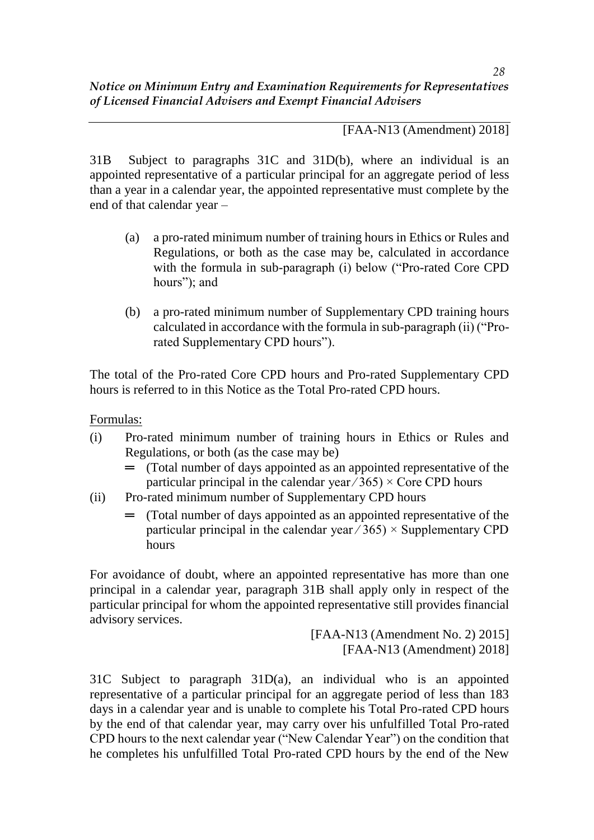[FAA-N13 (Amendment) 2018]

31B Subject to paragraphs 31C and 31D(b), where an individual is an appointed representative of a particular principal for an aggregate period of less than a year in a calendar year, the appointed representative must complete by the end of that calendar year –

- (a) a pro-rated minimum number of training hours in Ethics or Rules and Regulations, or both as the case may be, calculated in accordance with the formula in sub-paragraph (i) below ("Pro-rated Core CPD hours"); and
- (b) a pro-rated minimum number of Supplementary CPD training hours calculated in accordance with the formula in sub-paragraph (ii) ("Prorated Supplementary CPD hours").

The total of the Pro-rated Core CPD hours and Pro-rated Supplementary CPD hours is referred to in this Notice as the Total Pro-rated CPD hours.

Formulas:

- (i) Pro-rated minimum number of training hours in Ethics or Rules and Regulations, or both (as the case may be)
	- $=$  (Total number of days appointed as an appointed representative of the particular principal in the calendar year  $\hat{O}(365) \times$  Core CPD hours
- (ii) Pro-rated minimum number of Supplementary CPD hours
	- $=$  (Total number of days appointed as an appointed representative of the particular principal in the calendar year  $\angle 365$   $\times$  Supplementary CPD hours

For avoidance of doubt, where an appointed representative has more than one principal in a calendar year, paragraph 31B shall apply only in respect of the particular principal for whom the appointed representative still provides financial advisory services.

> [FAA-N13 (Amendment No. 2) 2015] [FAA-N13 (Amendment) 2018]

31C Subject to paragraph 31D(a), an individual who is an appointed representative of a particular principal for an aggregate period of less than 183 days in a calendar year and is unable to complete his Total Pro-rated CPD hours by the end of that calendar year, may carry over his unfulfilled Total Pro-rated CPD hours to the next calendar year ("New Calendar Year") on the condition that he completes his unfulfilled Total Pro-rated CPD hours by the end of the New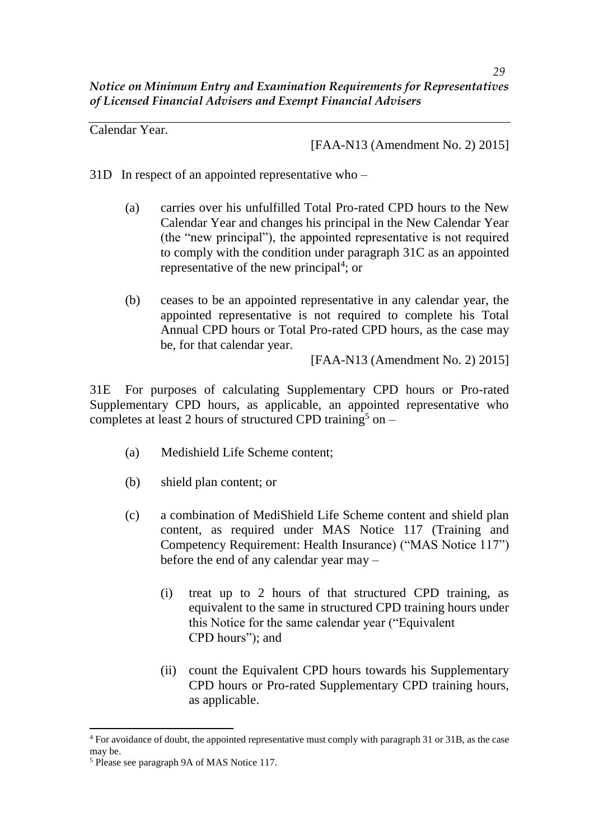Calendar Year.

[FAA-N13 (Amendment No. 2) 2015]

- 31D In respect of an appointed representative who
	- (a) carries over his unfulfilled Total Pro-rated CPD hours to the New Calendar Year and changes his principal in the New Calendar Year (the "new principal"), the appointed representative is not required to comply with the condition under paragraph 31C as an appointed representative of the new principal<sup>4</sup>; or
	- (b) ceases to be an appointed representative in any calendar year, the appointed representative is not required to complete his Total Annual CPD hours or Total Pro-rated CPD hours, as the case may be, for that calendar year.

[FAA-N13 (Amendment No. 2) 2015]

31E For purposes of calculating Supplementary CPD hours or Pro-rated Supplementary CPD hours, as applicable, an appointed representative who completes at least 2 hours of structured CPD training<sup>5</sup> on –

- (a) Medishield Life Scheme content;
- (b) shield plan content; or
- (c) a combination of MediShield Life Scheme content and shield plan content, as required under MAS Notice 117 (Training and Competency Requirement: Health Insurance) ("MAS Notice 117") before the end of any calendar year may –
	- (i) treat up to 2 hours of that structured CPD training, as equivalent to the same in structured CPD training hours under this Notice for the same calendar year ("Equivalent CPD hours"); and
	- (ii) count the Equivalent CPD hours towards his Supplementary CPD hours or Pro-rated Supplementary CPD training hours, as applicable.

 $\overline{\phantom{a}}$ 

<sup>4</sup> For avoidance of doubt, the appointed representative must comply with paragraph 31 or 31B, as the case may be.

<sup>5</sup> Please see paragraph 9A of MAS Notice 117.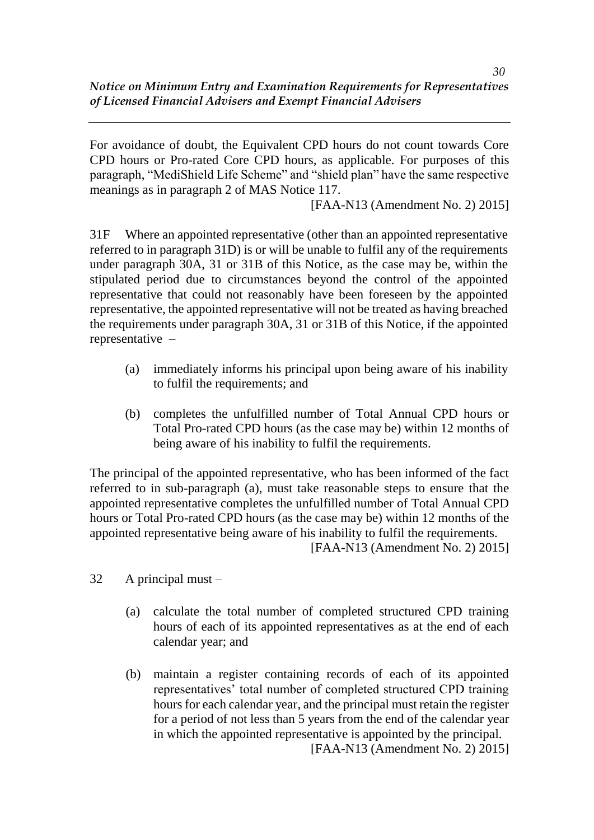For avoidance of doubt, the Equivalent CPD hours do not count towards Core CPD hours or Pro-rated Core CPD hours, as applicable. For purposes of this paragraph, "MediShield Life Scheme" and "shield plan" have the same respective meanings as in paragraph 2 of MAS Notice 117.

[FAA-N13 (Amendment No. 2) 2015]

31F Where an appointed representative (other than an appointed representative referred to in paragraph 31D) is or will be unable to fulfil any of the requirements under paragraph 30A, 31 or 31B of this Notice, as the case may be, within the stipulated period due to circumstances beyond the control of the appointed representative that could not reasonably have been foreseen by the appointed representative, the appointed representative will not be treated as having breached the requirements under paragraph 30A, 31 or 31B of this Notice, if the appointed representative –

- (a) immediately informs his principal upon being aware of his inability to fulfil the requirements; and
- (b) completes the unfulfilled number of Total Annual CPD hours or Total Pro-rated CPD hours (as the case may be) within 12 months of being aware of his inability to fulfil the requirements.

The principal of the appointed representative, who has been informed of the fact referred to in sub-paragraph (a), must take reasonable steps to ensure that the appointed representative completes the unfulfilled number of Total Annual CPD hours or Total Pro-rated CPD hours (as the case may be) within 12 months of the appointed representative being aware of his inability to fulfil the requirements.

[FAA-N13 (Amendment No. 2) 2015]

- 32 A principal must
	- (a) calculate the total number of completed structured CPD training hours of each of its appointed representatives as at the end of each calendar year; and
	- (b) maintain a register containing records of each of its appointed representatives' total number of completed structured CPD training hours for each calendar year, and the principal must retain the register for a period of not less than 5 years from the end of the calendar year in which the appointed representative is appointed by the principal. [FAA-N13 (Amendment No. 2) 2015]

*30*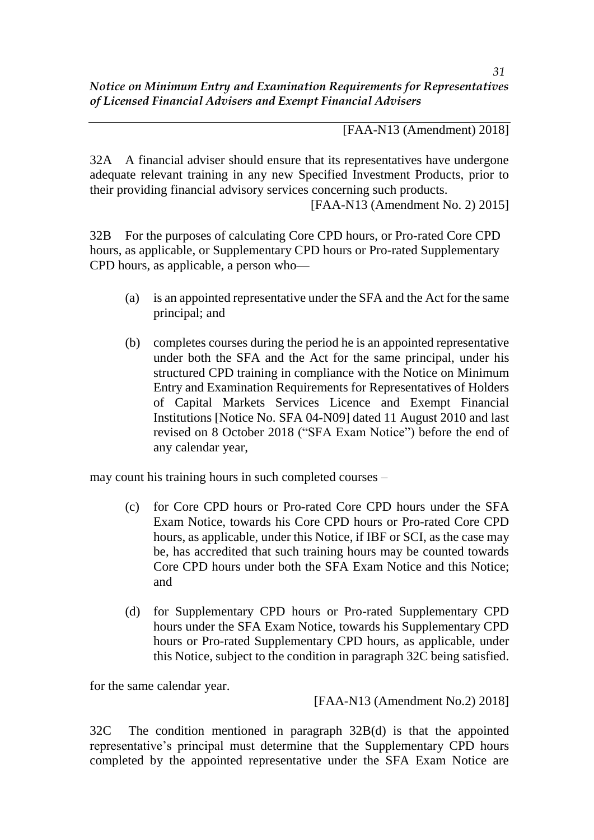[FAA-N13 (Amendment) 2018]

32A A financial adviser should ensure that its representatives have undergone adequate relevant training in any new Specified Investment Products, prior to their providing financial advisory services concerning such products.

[FAA-N13 (Amendment No. 2) 2015]

32B For the purposes of calculating Core CPD hours, or Pro-rated Core CPD hours, as applicable, or Supplementary CPD hours or Pro-rated Supplementary CPD hours, as applicable, a person who—

- (a) is an appointed representative under the SFA and the Act for the same principal; and
- (b) completes courses during the period he is an appointed representative under both the SFA and the Act for the same principal, under his structured CPD training in compliance with the Notice on Minimum Entry and Examination Requirements for Representatives of Holders of Capital Markets Services Licence and Exempt Financial Institutions [Notice No. SFA 04-N09] dated 11 August 2010 and last revised on 8 October 2018 ("SFA Exam Notice") before the end of any calendar year,

may count his training hours in such completed courses –

- (c) for Core CPD hours or Pro-rated Core CPD hours under the SFA Exam Notice, towards his Core CPD hours or Pro-rated Core CPD hours, as applicable, under this Notice, if IBF or SCI, as the case may be, has accredited that such training hours may be counted towards Core CPD hours under both the SFA Exam Notice and this Notice; and
- (d) for Supplementary CPD hours or Pro-rated Supplementary CPD hours under the SFA Exam Notice, towards his Supplementary CPD hours or Pro-rated Supplementary CPD hours, as applicable, under this Notice, subject to the condition in paragraph 32C being satisfied.

for the same calendar year.

[FAA-N13 (Amendment No.2) 2018]

32C The condition mentioned in paragraph 32B(d) is that the appointed representative's principal must determine that the Supplementary CPD hours completed by the appointed representative under the SFA Exam Notice are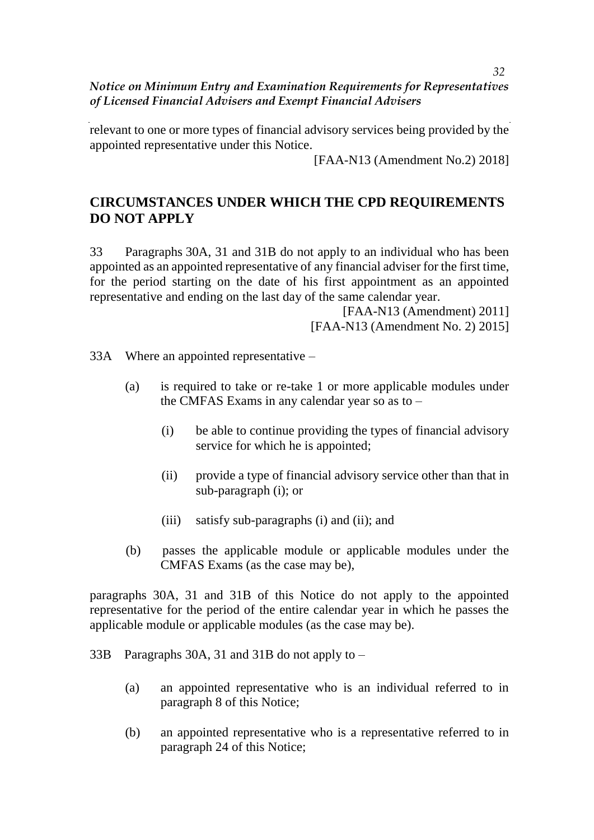relevant to one or more types of financial advisory services being provided by the appointed representative under this Notice.

[FAA-N13 (Amendment No.2) 2018]

# **CIRCUMSTANCES UNDER WHICH THE CPD REQUIREMENTS DO NOT APPLY**

33 Paragraphs 30A, 31 and 31B do not apply to an individual who has been appointed as an appointed representative of any financial adviser for the first time, for the period starting on the date of his first appointment as an appointed representative and ending on the last day of the same calendar year.

> [FAA-N13 (Amendment) 2011] [FAA-N13 (Amendment No. 2) 2015]

33A Where an appointed representative –

- (a) is required to take or re-take 1 or more applicable modules under the CMFAS Exams in any calendar year so as to –
	- (i) be able to continue providing the types of financial advisory service for which he is appointed;
	- (ii) provide a type of financial advisory service other than that in sub-paragraph (i); or
	- (iii) satisfy sub-paragraphs (i) and (ii); and
- (b) passes the applicable module or applicable modules under the CMFAS Exams (as the case may be),

paragraphs 30A, 31 and 31B of this Notice do not apply to the appointed representative for the period of the entire calendar year in which he passes the applicable module or applicable modules (as the case may be).

- 33B Paragraphs 30A, 31 and 31B do not apply to
	- (a) an appointed representative who is an individual referred to in paragraph 8 of this Notice;
	- (b) an appointed representative who is a representative referred to in paragraph 24 of this Notice;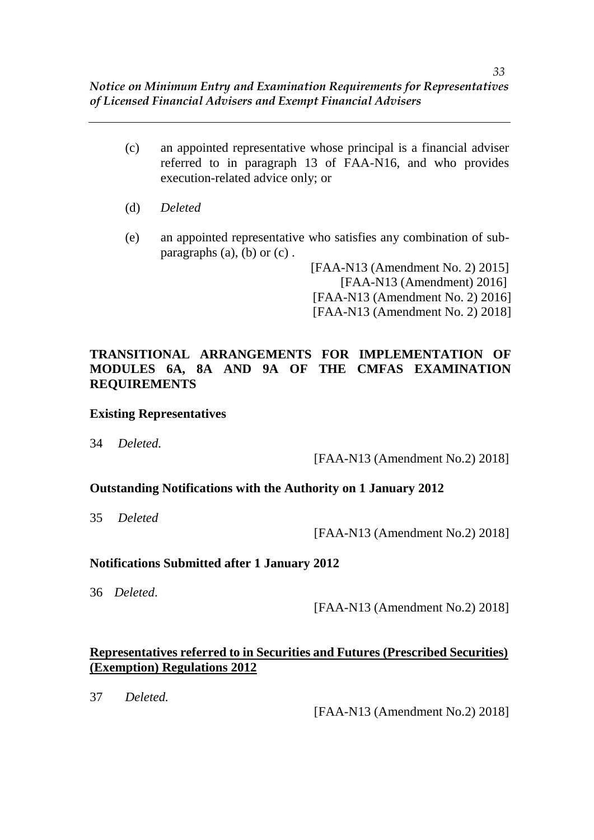- (c) an appointed representative whose principal is a financial adviser referred to in paragraph 13 of FAA-N16, and who provides execution-related advice only; or
- (d) *Deleted*
- (e) an appointed representative who satisfies any combination of subparagraphs  $(a)$ ,  $(b)$  or  $(c)$ .

[FAA-N13 (Amendment No. 2) 2015] [FAA-N13 (Amendment) 2016] [FAA-N13 (Amendment No. 2) 2016] [FAA-N13 (Amendment No. 2) 2018]

### **TRANSITIONAL ARRANGEMENTS FOR IMPLEMENTATION OF MODULES 6A, 8A AND 9A OF THE CMFAS EXAMINATION REQUIREMENTS**

#### **Existing Representatives**

34 *Deleted.*

[FAA-N13 (Amendment No.2) 2018]

#### **Outstanding Notifications with the Authority on 1 January 2012**

35 *Deleted*

[FAA-N13 (Amendment No.2) 2018]

#### **Notifications Submitted after 1 January 2012**

36 *Deleted*.

[FAA-N13 (Amendment No.2) 2018]

### **Representatives referred to in Securities and Futures (Prescribed Securities) (Exemption) Regulations 2012**

37 *Deleted.*

[FAA-N13 (Amendment No.2) 2018]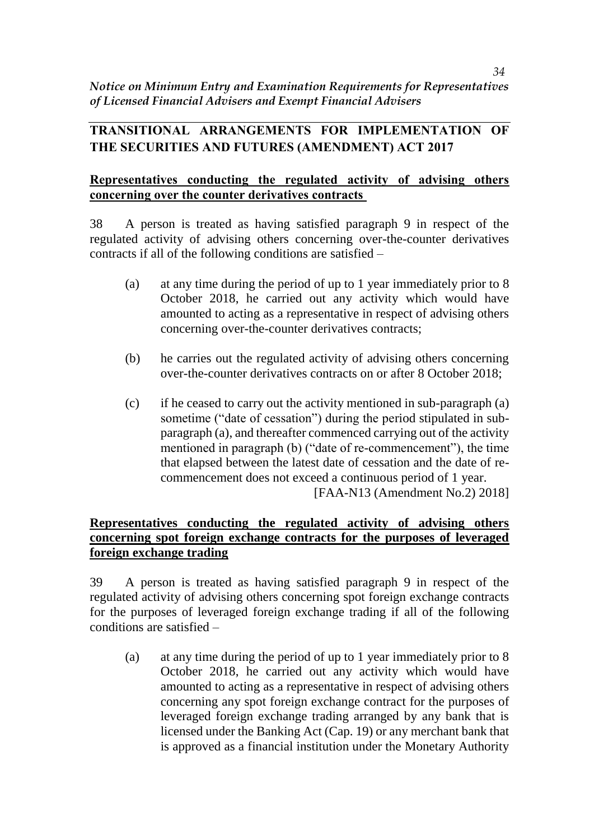# **TRANSITIONAL ARRANGEMENTS FOR IMPLEMENTATION OF THE SECURITIES AND FUTURES (AMENDMENT) ACT 2017**

# **Representatives conducting the regulated activity of advising others concerning over the counter derivatives contracts**

38 A person is treated as having satisfied paragraph 9 in respect of the regulated activity of advising others concerning over-the-counter derivatives contracts if all of the following conditions are satisfied –

- (a) at any time during the period of up to 1 year immediately prior to 8 October 2018, he carried out any activity which would have amounted to acting as a representative in respect of advising others concerning over-the-counter derivatives contracts;
- (b) he carries out the regulated activity of advising others concerning over-the-counter derivatives contracts on or after 8 October 2018;
- (c) if he ceased to carry out the activity mentioned in sub-paragraph (a) sometime ("date of cessation") during the period stipulated in subparagraph (a), and thereafter commenced carrying out of the activity mentioned in paragraph (b) ("date of re-commencement"), the time that elapsed between the latest date of cessation and the date of recommencement does not exceed a continuous period of 1 year. [FAA-N13 (Amendment No.2) 2018]

# **Representatives conducting the regulated activity of advising others concerning spot foreign exchange contracts for the purposes of leveraged foreign exchange trading**

39 A person is treated as having satisfied paragraph 9 in respect of the regulated activity of advising others concerning spot foreign exchange contracts for the purposes of leveraged foreign exchange trading if all of the following conditions are satisfied –

(a) at any time during the period of up to 1 year immediately prior to 8 October 2018, he carried out any activity which would have amounted to acting as a representative in respect of advising others concerning any spot foreign exchange contract for the purposes of leveraged foreign exchange trading arranged by any bank that is licensed under the Banking Act (Cap. 19) or any merchant bank that is approved as a financial institution under the Monetary Authority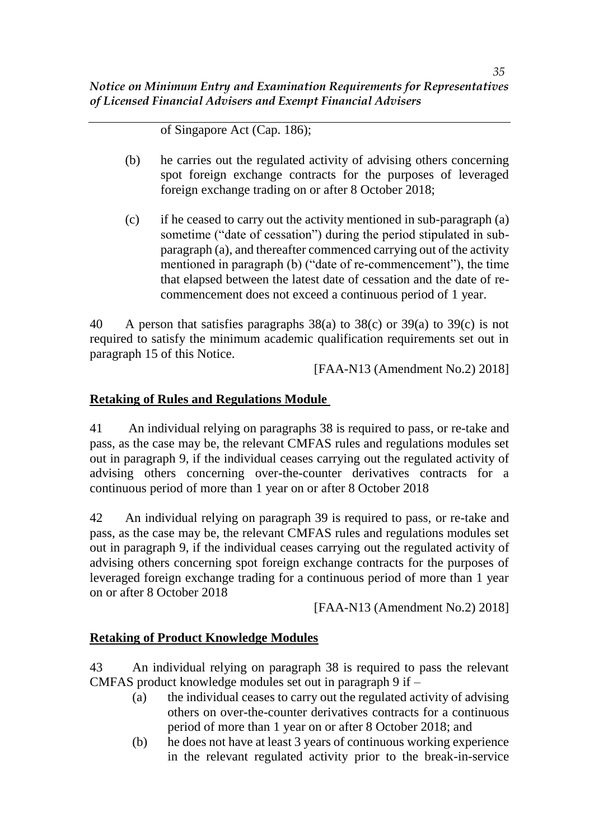of Singapore Act (Cap. 186);

- (b) he carries out the regulated activity of advising others concerning spot foreign exchange contracts for the purposes of leveraged foreign exchange trading on or after 8 October 2018;
- (c) if he ceased to carry out the activity mentioned in sub-paragraph (a) sometime ("date of cessation") during the period stipulated in subparagraph (a), and thereafter commenced carrying out of the activity mentioned in paragraph (b) ("date of re-commencement"), the time that elapsed between the latest date of cessation and the date of recommencement does not exceed a continuous period of 1 year.

40 A person that satisfies paragraphs 38(a) to 38(c) or 39(a) to 39(c) is not required to satisfy the minimum academic qualification requirements set out in paragraph 15 of this Notice.

[FAA-N13 (Amendment No.2) 2018]

### **Retaking of Rules and Regulations Module**

41 An individual relying on paragraphs 38 is required to pass, or re-take and pass, as the case may be, the relevant CMFAS rules and regulations modules set out in paragraph 9, if the individual ceases carrying out the regulated activity of advising others concerning over-the-counter derivatives contracts for a continuous period of more than 1 year on or after 8 October 2018

42 An individual relying on paragraph 39 is required to pass, or re-take and pass, as the case may be, the relevant CMFAS rules and regulations modules set out in paragraph 9, if the individual ceases carrying out the regulated activity of advising others concerning spot foreign exchange contracts for the purposes of leveraged foreign exchange trading for a continuous period of more than 1 year on or after 8 October 2018

[FAA-N13 (Amendment No.2) 2018]

#### **Retaking of Product Knowledge Modules**

43 An individual relying on paragraph 38 is required to pass the relevant CMFAS product knowledge modules set out in paragraph 9 if –

- (a) the individual ceases to carry out the regulated activity of advising others on over-the-counter derivatives contracts for a continuous period of more than 1 year on or after 8 October 2018; and
- (b) he does not have at least 3 years of continuous working experience in the relevant regulated activity prior to the break-in-service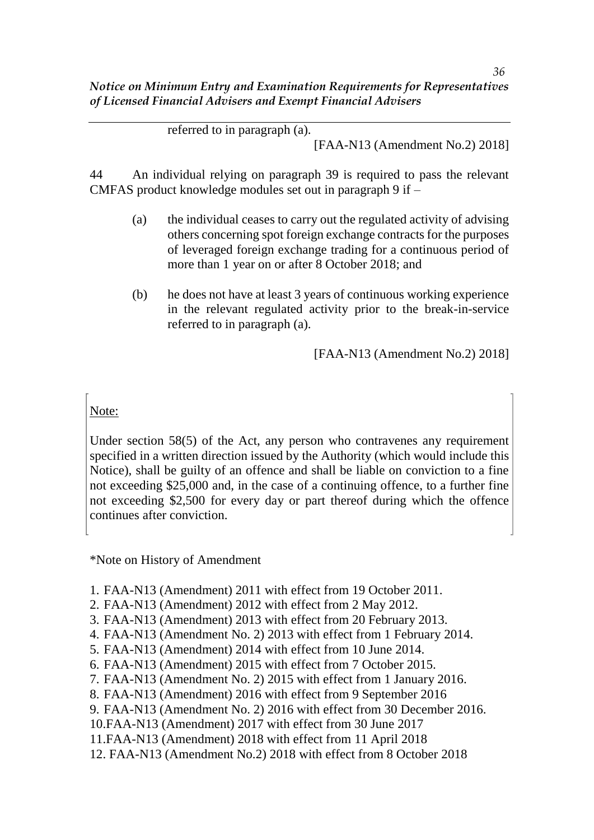referred to in paragraph (a).

[FAA-N13 (Amendment No.2) 2018]

44 An individual relying on paragraph 39 is required to pass the relevant CMFAS product knowledge modules set out in paragraph 9 if –

- (a) the individual ceases to carry out the regulated activity of advising others concerning spot foreign exchange contracts for the purposes of leveraged foreign exchange trading for a continuous period of more than 1 year on or after 8 October 2018; and
- (b) he does not have at least 3 years of continuous working experience in the relevant regulated activity prior to the break-in-service referred to in paragraph (a).

[FAA-N13 (Amendment No.2) 2018]

# Note:

Under section 58(5) of the Act, any person who contravenes any requirement specified in a written direction issued by the Authority (which would include this Notice), shall be guilty of an offence and shall be liable on conviction to a fine not exceeding \$25,000 and, in the case of a continuing offence, to a further fine not exceeding \$2,500 for every day or part thereof during which the offence continues after conviction.

\*Note on History of Amendment

- 1. FAA-N13 (Amendment) 2011 with effect from 19 October 2011.
- 2. FAA-N13 (Amendment) 2012 with effect from 2 May 2012.
- 3. FAA-N13 (Amendment) 2013 with effect from 20 February 2013.
- 4. FAA-N13 (Amendment No. 2) 2013 with effect from 1 February 2014.
- 5. FAA-N13 (Amendment) 2014 with effect from 10 June 2014.
- 6. FAA-N13 (Amendment) 2015 with effect from 7 October 2015.
- 7. FAA-N13 (Amendment No. 2) 2015 with effect from 1 January 2016.
- 8. FAA-N13 (Amendment) 2016 with effect from 9 September 2016
- 9. FAA-N13 (Amendment No. 2) 2016 with effect from 30 December 2016.
- 10.FAA-N13 (Amendment) 2017 with effect from 30 June 2017
- 11.FAA-N13 (Amendment) 2018 with effect from 11 April 2018
- 12. FAA-N13 (Amendment No.2) 2018 with effect from 8 October 2018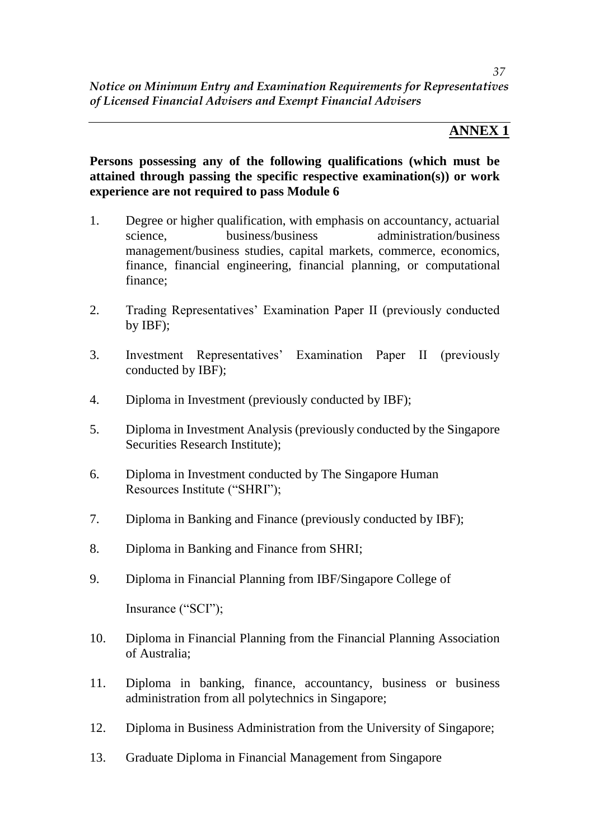# **ANNEX 1**

**Persons possessing any of the following qualifications (which must be attained through passing the specific respective examination(s)) or work experience are not required to pass Module 6**

- 1. Degree or higher qualification, with emphasis on accountancy, actuarial science, business/business administration/business management/business studies, capital markets, commerce, economics, finance, financial engineering, financial planning, or computational finance;
- 2. Trading Representatives' Examination Paper II (previously conducted by IBF);
- 3. Investment Representatives' Examination Paper II (previously conducted by IBF);
- 4. Diploma in Investment (previously conducted by IBF);
- 5. Diploma in Investment Analysis (previously conducted by the Singapore Securities Research Institute);
- 6. Diploma in Investment conducted by The Singapore Human Resources Institute ("SHRI");
- 7. Diploma in Banking and Finance (previously conducted by IBF);
- 8. Diploma in Banking and Finance from SHRI;
- 9. Diploma in Financial Planning from IBF/Singapore College of

Insurance ("SCI");

- 10. Diploma in Financial Planning from the Financial Planning Association of Australia;
- 11. Diploma in banking, finance, accountancy, business or business administration from all polytechnics in Singapore;
- 12. Diploma in Business Administration from the University of Singapore;
- 13. Graduate Diploma in Financial Management from Singapore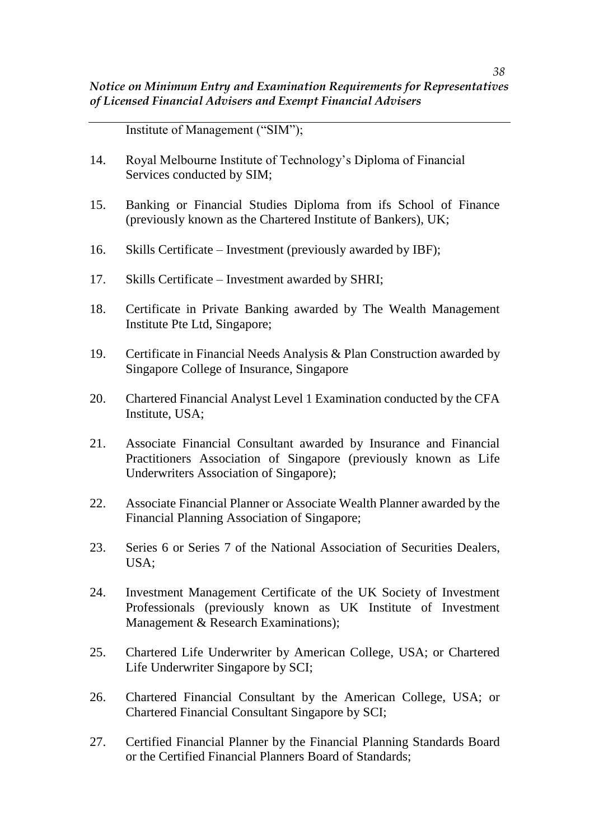Institute of Management ("SIM");

- 14. Royal Melbourne Institute of Technology's Diploma of Financial Services conducted by SIM;
- 15. Banking or Financial Studies Diploma from ifs School of Finance (previously known as the Chartered Institute of Bankers), UK;
- 16. Skills Certificate Investment (previously awarded by IBF);
- 17. Skills Certificate Investment awarded by SHRI;
- 18. Certificate in Private Banking awarded by The Wealth Management Institute Pte Ltd, Singapore;
- 19. Certificate in Financial Needs Analysis & Plan Construction awarded by Singapore College of Insurance, Singapore
- 20. Chartered Financial Analyst Level 1 Examination conducted by the CFA Institute, USA;
- 21. Associate Financial Consultant awarded by Insurance and Financial Practitioners Association of Singapore (previously known as Life Underwriters Association of Singapore);
- 22. Associate Financial Planner or Associate Wealth Planner awarded by the Financial Planning Association of Singapore;
- 23. Series 6 or Series 7 of the National Association of Securities Dealers, USA;
- 24. Investment Management Certificate of the UK Society of Investment Professionals (previously known as UK Institute of Investment Management & Research Examinations);
- 25. Chartered Life Underwriter by American College, USA; or Chartered Life Underwriter Singapore by SCI;
- 26. Chartered Financial Consultant by the American College, USA; or Chartered Financial Consultant Singapore by SCI;
- 27. Certified Financial Planner by the Financial Planning Standards Board or the Certified Financial Planners Board of Standards;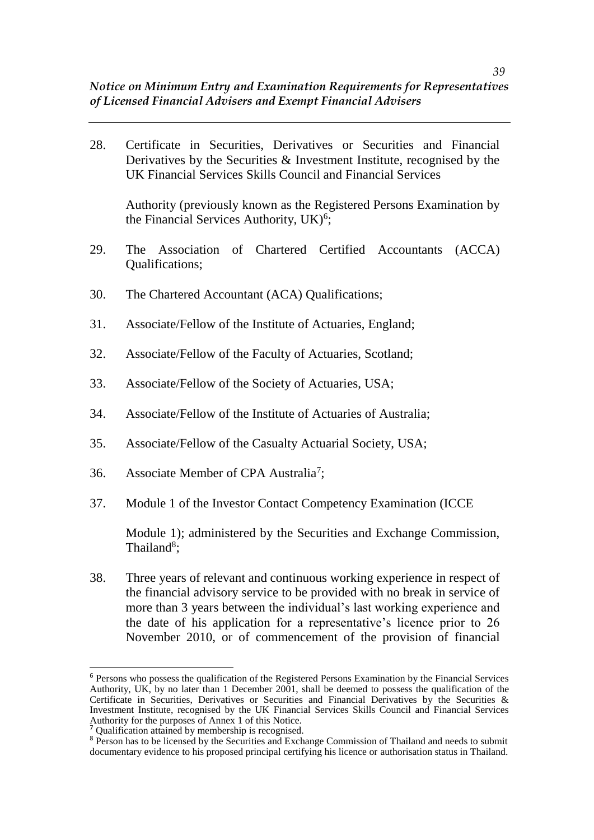28. Certificate in Securities, Derivatives or Securities and Financial Derivatives by the Securities & Investment Institute, recognised by the UK Financial Services Skills Council and Financial Services

Authority (previously known as the Registered Persons Examination by the Financial Services Authority, UK)<sup>6</sup>;

- 29. The Association of Chartered Certified Accountants (ACCA) Qualifications;
- 30. The Chartered Accountant (ACA) Qualifications;
- 31. Associate/Fellow of the Institute of Actuaries, England;
- 32. Associate/Fellow of the Faculty of Actuaries, Scotland;
- 33. Associate/Fellow of the Society of Actuaries, USA;
- 34. Associate/Fellow of the Institute of Actuaries of Australia;
- 35. Associate/Fellow of the Casualty Actuarial Society, USA;
- 36. Associate Member of CPA Australia<sup>7</sup>;
- 37. Module 1 of the Investor Contact Competency Examination (ICCE

Module 1); administered by the Securities and Exchange Commission, Thailand<sup>8</sup>;

38. Three years of relevant and continuous working experience in respect of the financial advisory service to be provided with no break in service of more than 3 years between the individual's last working experience and the date of his application for a representative's licence prior to 26 November 2010, or of commencement of the provision of financial

 $\overline{\phantom{a}}$ 

<sup>6</sup> Persons who possess the qualification of the Registered Persons Examination by the Financial Services Authority, UK, by no later than 1 December 2001, shall be deemed to possess the qualification of the Certificate in Securities, Derivatives or Securities and Financial Derivatives by the Securities & Investment Institute, recognised by the UK Financial Services Skills Council and Financial Services Authority for the purposes of Annex 1 of this Notice.

<sup>&</sup>lt;sup>7</sup> Qualification attained by membership is recognised.

<sup>&</sup>lt;sup>8</sup> Person has to be licensed by the Securities and Exchange Commission of Thailand and needs to submit documentary evidence to his proposed principal certifying his licence or authorisation status in Thailand.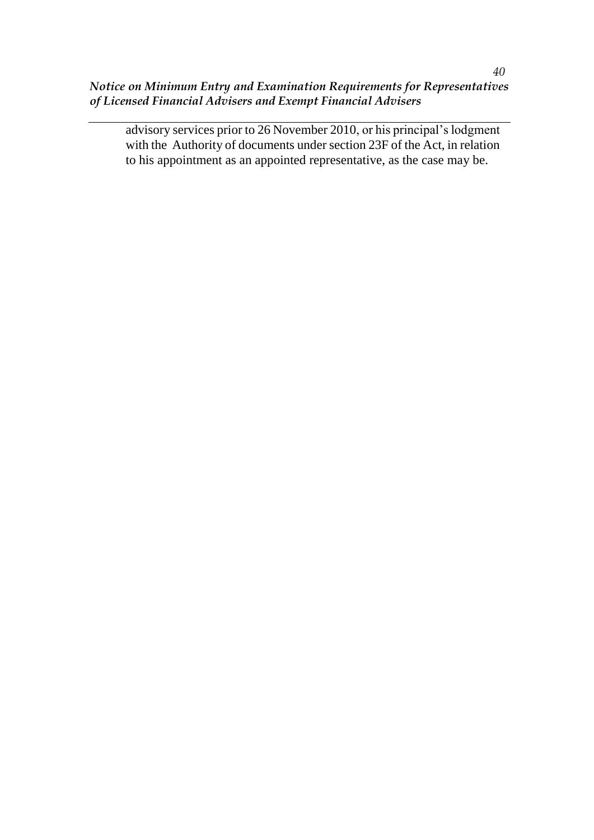advisory services prior to 26 November 2010, or his principal's lodgment with the Authority of documents under section 23F of the Act, in relation to his appointment as an appointed representative, as the case may be.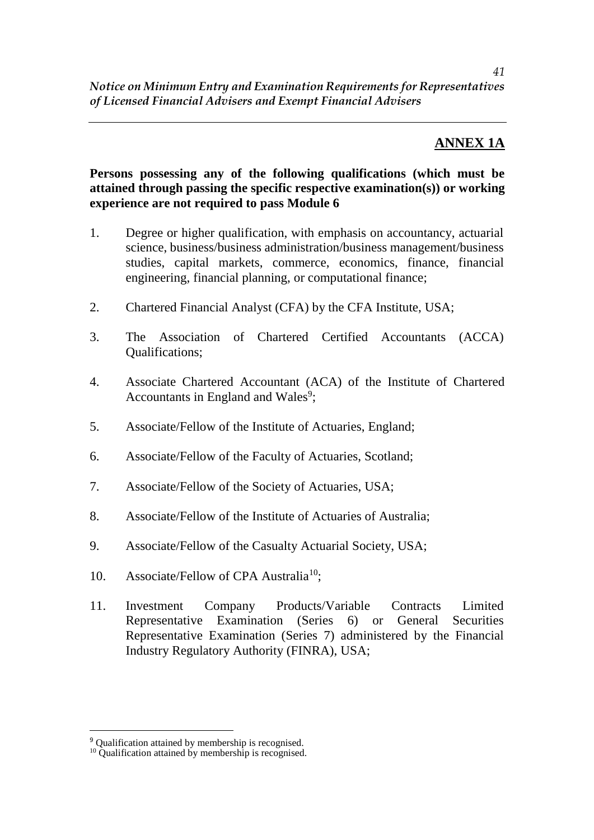# **ANNEX 1A**

### **Persons possessing any of the following qualifications (which must be attained through passing the specific respective examination(s)) or working experience are not required to pass Module 6**

- 1. Degree or higher qualification, with emphasis on accountancy, actuarial science, business/business administration/business management/business studies, capital markets, commerce, economics, finance, financial engineering, financial planning, or computational finance;
- 2. Chartered Financial Analyst (CFA) by the CFA Institute, USA;
- 3. The Association of Chartered Certified Accountants (ACCA) Qualifications;
- 4. Associate Chartered Accountant (ACA) of the Institute of Chartered Accountants in England and Wales<sup>9</sup>;
- 5. Associate/Fellow of the Institute of Actuaries, England;
- 6. Associate/Fellow of the Faculty of Actuaries, Scotland;
- 7. Associate/Fellow of the Society of Actuaries, USA;
- 8. Associate/Fellow of the Institute of Actuaries of Australia;
- 9. Associate/Fellow of the Casualty Actuarial Society, USA;
- 10. Associate/Fellow of CPA Australia<sup>10</sup>;
- 11. Investment Company Products/Variable Contracts Limited Representative Examination (Series 6) or General Securities Representative Examination (Series 7) administered by the Financial Industry Regulatory Authority (FINRA), USA;

 $\overline{a}$ 

<sup>&</sup>lt;sup>9</sup> Qualification attained by membership is recognised.

<sup>&</sup>lt;sup>10</sup> Qualification attained by membership is recognised.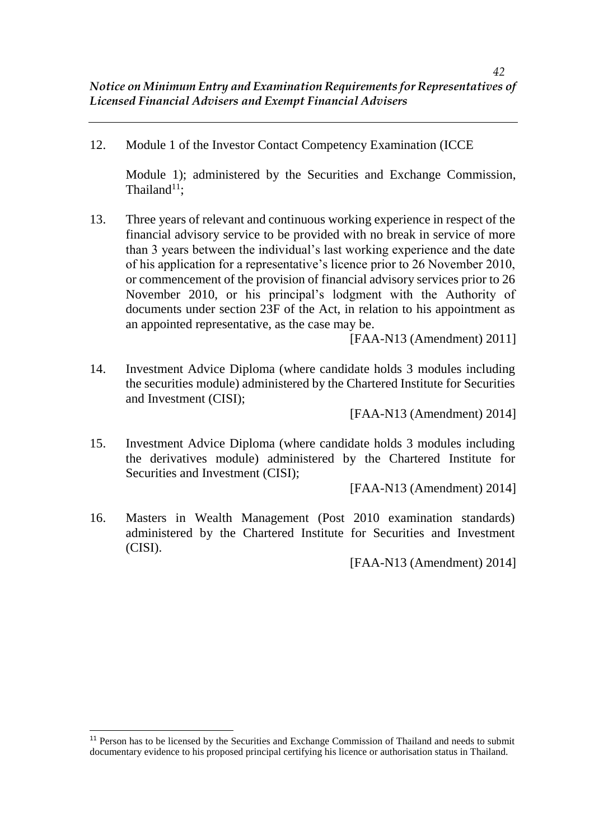12. Module 1 of the Investor Contact Competency Examination (ICCE

Module 1); administered by the Securities and Exchange Commission, Thailand $11$ :

13. Three years of relevant and continuous working experience in respect of the financial advisory service to be provided with no break in service of more than 3 years between the individual's last working experience and the date of his application for a representative's licence prior to 26 November 2010, or commencement of the provision of financial advisory services prior to 26 November 2010, or his principal's lodgment with the Authority of documents under section 23F of the Act, in relation to his appointment as an appointed representative, as the case may be.

[FAA-N13 (Amendment) 2011]

14. Investment Advice Diploma (where candidate holds 3 modules including the securities module) administered by the Chartered Institute for Securities and Investment (CISI);

[FAA-N13 (Amendment) 2014]

15. Investment Advice Diploma (where candidate holds 3 modules including the derivatives module) administered by the Chartered Institute for Securities and Investment (CISI);

[FAA-N13 (Amendment) 2014]

16. Masters in Wealth Management (Post 2010 examination standards) administered by the Chartered Institute for Securities and Investment (CISI).

[FAA-N13 (Amendment) 2014]

 $\overline{\phantom{a}}$ 

<sup>&</sup>lt;sup>11</sup> Person has to be licensed by the Securities and Exchange Commission of Thailand and needs to submit documentary evidence to his proposed principal certifying his licence or authorisation status in Thailand.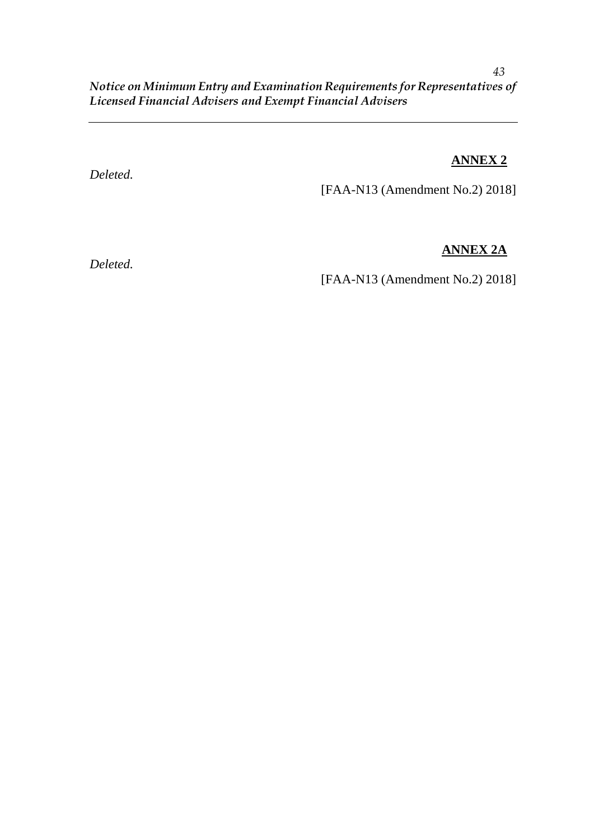### *Deleted.*

**ANNEX 2**

[FAA-N13 (Amendment No.2) 2018]

# **ANNEX 2A**

*Deleted.*

[FAA-N13 (Amendment No.2) 2018]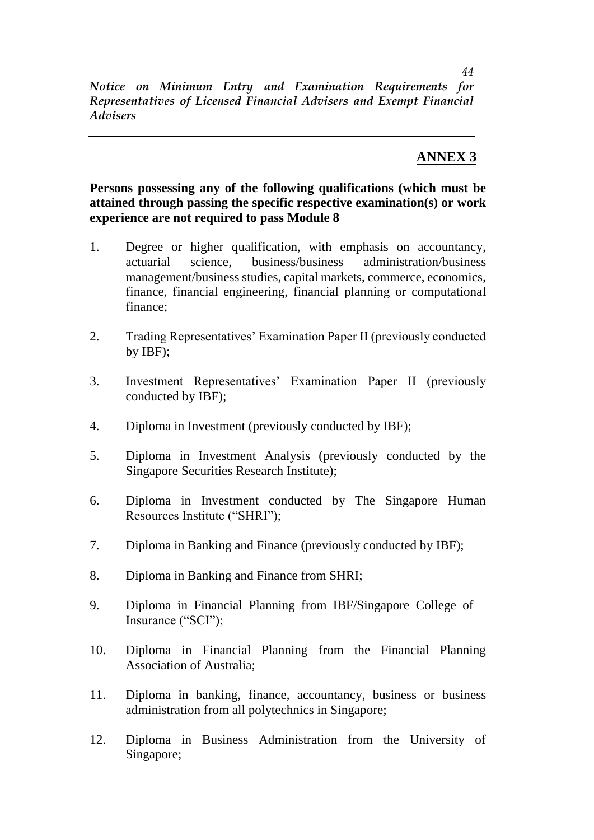# **ANNEX 3**

**Persons possessing any of the following qualifications (which must be attained through passing the specific respective examination(s) or work experience are not required to pass Module 8**

- 1. Degree or higher qualification, with emphasis on accountancy, actuarial science, business/business administration/business management/business studies, capital markets, commerce, economics, finance, financial engineering, financial planning or computational finance;
- 2. Trading Representatives' Examination Paper II (previously conducted by IBF);
- 3. Investment Representatives' Examination Paper II (previously conducted by IBF);
- 4. Diploma in Investment (previously conducted by IBF);
- 5. Diploma in Investment Analysis (previously conducted by the Singapore Securities Research Institute);
- 6. Diploma in Investment conducted by The Singapore Human Resources Institute ("SHRI");
- 7. Diploma in Banking and Finance (previously conducted by IBF);
- 8. Diploma in Banking and Finance from SHRI;
- 9. Diploma in Financial Planning from IBF/Singapore College of Insurance ("SCI");
- 10. Diploma in Financial Planning from the Financial Planning Association of Australia;
- 11. Diploma in banking, finance, accountancy, business or business administration from all polytechnics in Singapore;
- 12. Diploma in Business Administration from the University of Singapore;

*44*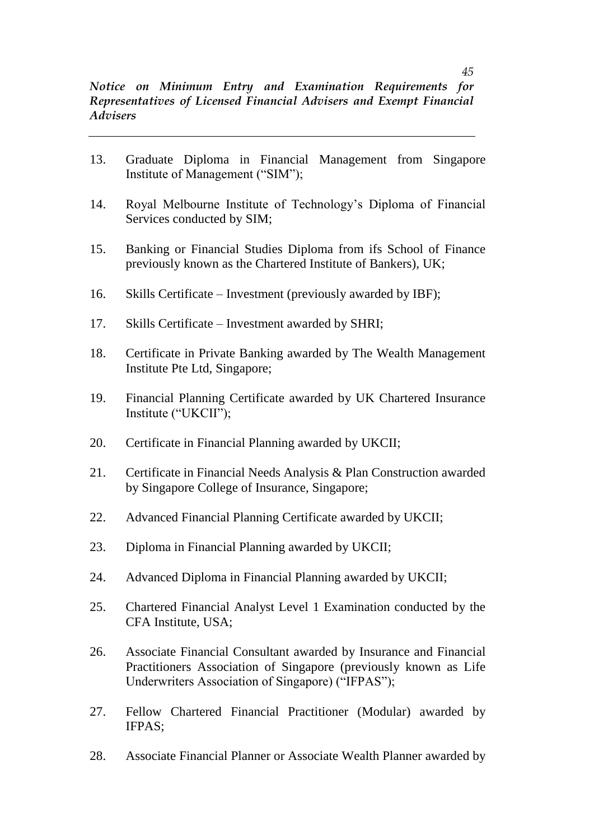- 13. Graduate Diploma in Financial Management from Singapore Institute of Management ("SIM");
- 14. Royal Melbourne Institute of Technology's Diploma of Financial Services conducted by SIM;
- 15. Banking or Financial Studies Diploma from ifs School of Finance previously known as the Chartered Institute of Bankers), UK;
- 16. Skills Certificate Investment (previously awarded by IBF);
- 17. Skills Certificate Investment awarded by SHRI;
- 18. Certificate in Private Banking awarded by The Wealth Management Institute Pte Ltd, Singapore;
- 19. Financial Planning Certificate awarded by UK Chartered Insurance Institute ("UKCII");
- 20. Certificate in Financial Planning awarded by UKCII;
- 21. Certificate in Financial Needs Analysis & Plan Construction awarded by Singapore College of Insurance, Singapore;
- 22. Advanced Financial Planning Certificate awarded by UKCII;
- 23. Diploma in Financial Planning awarded by UKCII;
- 24. Advanced Diploma in Financial Planning awarded by UKCII;
- 25. Chartered Financial Analyst Level 1 Examination conducted by the CFA Institute, USA;
- 26. Associate Financial Consultant awarded by Insurance and Financial Practitioners Association of Singapore (previously known as Life Underwriters Association of Singapore) ("IFPAS");
- 27. Fellow Chartered Financial Practitioner (Modular) awarded by IFPAS;
- 28. Associate Financial Planner or Associate Wealth Planner awarded by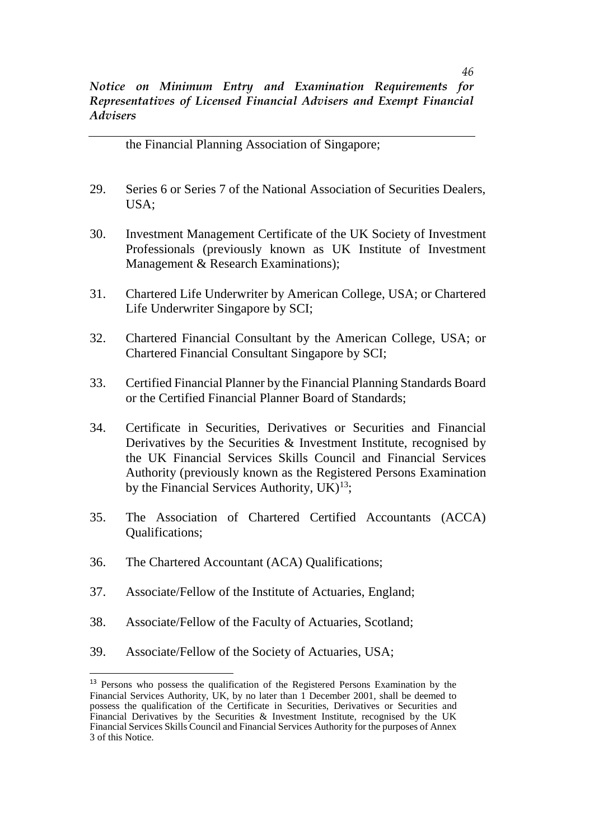the Financial Planning Association of Singapore;

- 29. Series 6 or Series 7 of the National Association of Securities Dealers, USA;
- 30. Investment Management Certificate of the UK Society of Investment Professionals (previously known as UK Institute of Investment Management & Research Examinations);
- 31. Chartered Life Underwriter by American College, USA; or Chartered Life Underwriter Singapore by SCI;
- 32. Chartered Financial Consultant by the American College, USA; or Chartered Financial Consultant Singapore by SCI;
- 33. Certified Financial Planner by the Financial Planning Standards Board or the Certified Financial Planner Board of Standards;
- 34. Certificate in Securities, Derivatives or Securities and Financial Derivatives by the Securities & Investment Institute, recognised by the UK Financial Services Skills Council and Financial Services Authority (previously known as the Registered Persons Examination by the Financial Services Authority,  $UK)^{13}$ ;
- 35. The Association of Chartered Certified Accountants (ACCA) Qualifications;
- 36. The Chartered Accountant (ACA) Qualifications;
- 37. Associate/Fellow of the Institute of Actuaries, England;
- 38. Associate/Fellow of the Faculty of Actuaries, Scotland;
- 39. Associate/Fellow of the Society of Actuaries, USA;

 $\overline{\phantom{a}}$ 

<sup>13</sup> Persons who possess the qualification of the Registered Persons Examination by the Financial Services Authority, UK, by no later than 1 December 2001, shall be deemed to possess the qualification of the Certificate in Securities, Derivatives or Securities and Financial Derivatives by the Securities & Investment Institute, recognised by the UK Financial Services Skills Council and Financial Services Authority for the purposes of Annex 3 of this Notice.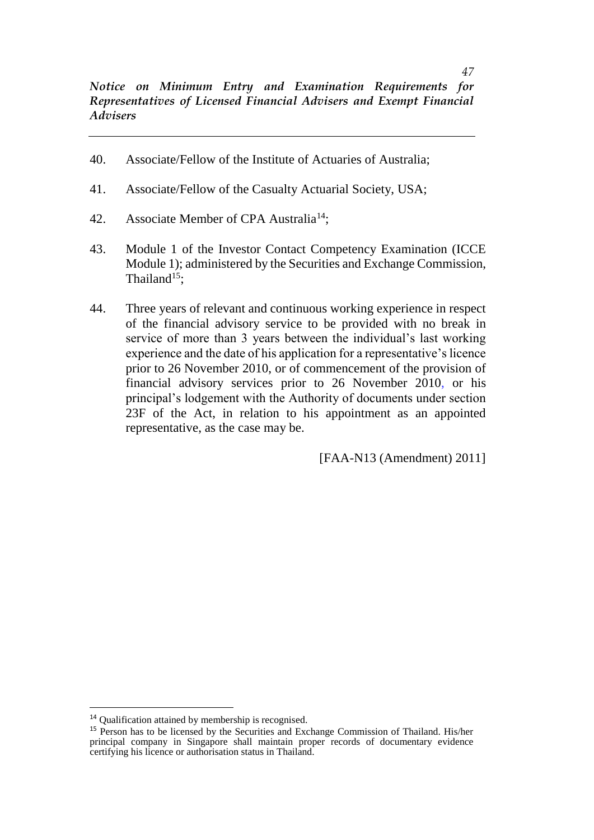- 40. Associate/Fellow of the Institute of Actuaries of Australia;
- 41. Associate/Fellow of the Casualty Actuarial Society, USA;
- 42. Associate Member of CPA Australia<sup>14</sup>;
- 43. Module 1 of the Investor Contact Competency Examination (ICCE Module 1); administered by the Securities and Exchange Commission, Thailand $15$ :
- 44. Three years of relevant and continuous working experience in respect of the financial advisory service to be provided with no break in service of more than 3 years between the individual's last working experience and the date of his application for a representative's licence prior to 26 November 2010, or of commencement of the provision of financial advisory services prior to 26 November 2010, or his principal's lodgement with the Authority of documents under section 23F of the Act, in relation to his appointment as an appointed representative, as the case may be.

[FAA-N13 (Amendment) 2011]

 $\overline{a}$ 

<sup>14</sup> Qualification attained by membership is recognised.

<sup>15</sup> Person has to be licensed by the Securities and Exchange Commission of Thailand. His/her principal company in Singapore shall maintain proper records of documentary evidence certifying his licence or authorisation status in Thailand.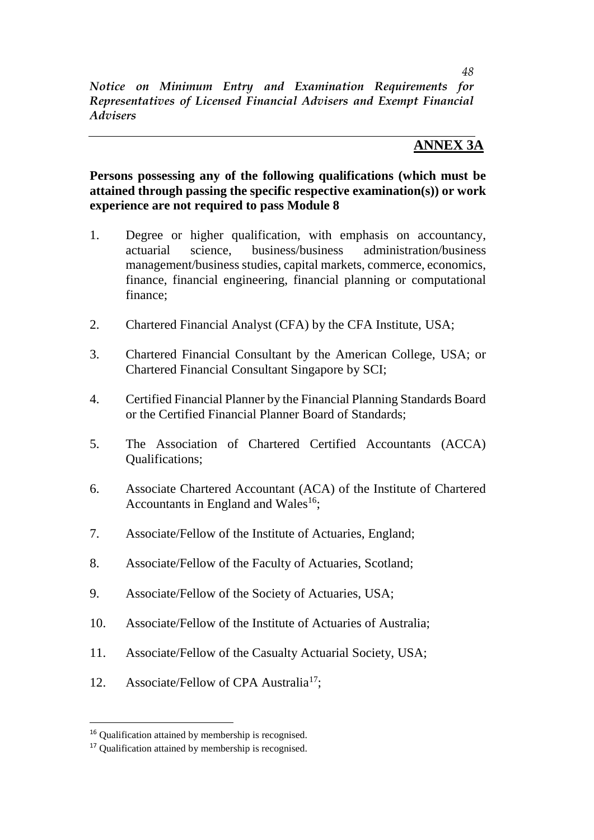### **ANNEX 3A**

### **Persons possessing any of the following qualifications (which must be attained through passing the specific respective examination(s)) or work experience are not required to pass Module 8**

- 1. Degree or higher qualification, with emphasis on accountancy, actuarial science, business/business administration/business management/business studies, capital markets, commerce, economics, finance, financial engineering, financial planning or computational finance;
- 2. Chartered Financial Analyst (CFA) by the CFA Institute, USA;
- 3. Chartered Financial Consultant by the American College, USA; or Chartered Financial Consultant Singapore by SCI;
- 4. Certified Financial Planner by the Financial Planning Standards Board or the Certified Financial Planner Board of Standards;
- 5. The Association of Chartered Certified Accountants (ACCA) Qualifications;
- 6. Associate Chartered Accountant (ACA) of the Institute of Chartered Accountants in England and Wales<sup>16</sup>;
- 7. Associate/Fellow of the Institute of Actuaries, England;
- 8. Associate/Fellow of the Faculty of Actuaries, Scotland;
- 9. Associate/Fellow of the Society of Actuaries, USA;
- 10. Associate/Fellow of the Institute of Actuaries of Australia;
- 11. Associate/Fellow of the Casualty Actuarial Society, USA;
- 12. Associate/Fellow of CPA Australia<sup>17</sup>;

 $\overline{a}$ 

<sup>16</sup> Qualification attained by membership is recognised.

<sup>17</sup> Qualification attained by membership is recognised.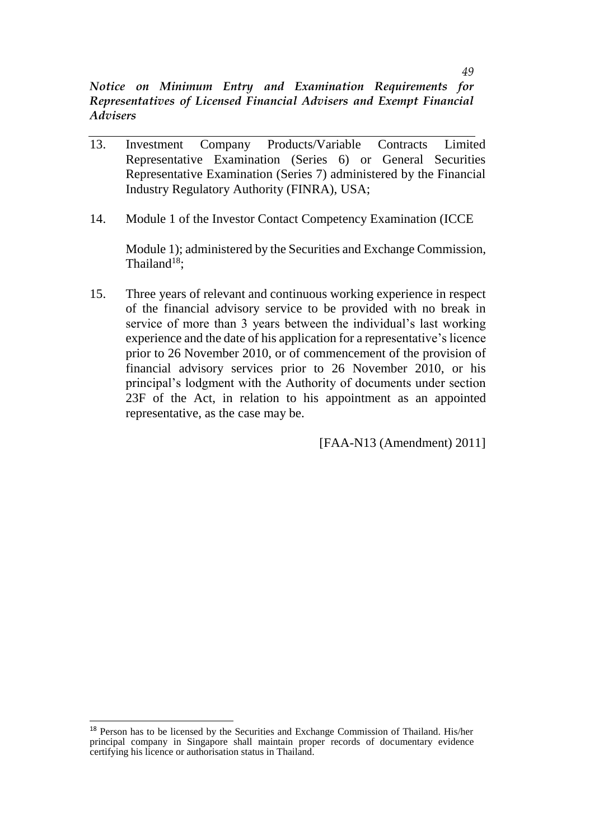- 13. Investment Company Products/Variable Contracts Limited Representative Examination (Series 6) or General Securities Representative Examination (Series 7) administered by the Financial Industry Regulatory Authority (FINRA), USA;
- 14. Module 1 of the Investor Contact Competency Examination (ICCE

Module 1); administered by the Securities and Exchange Commission, Thailand $18$ :

15. Three years of relevant and continuous working experience in respect of the financial advisory service to be provided with no break in service of more than 3 years between the individual's last working experience and the date of his application for a representative's licence prior to 26 November 2010, or of commencement of the provision of financial advisory services prior to 26 November 2010, or his principal's lodgment with the Authority of documents under section 23F of the Act, in relation to his appointment as an appointed representative, as the case may be.

[FAA-N13 (Amendment) 2011]

 $\overline{\phantom{a}}$ 

<sup>&</sup>lt;sup>18</sup> Person has to be licensed by the Securities and Exchange Commission of Thailand. His/her principal company in Singapore shall maintain proper records of documentary evidence certifying his licence or authorisation status in Thailand.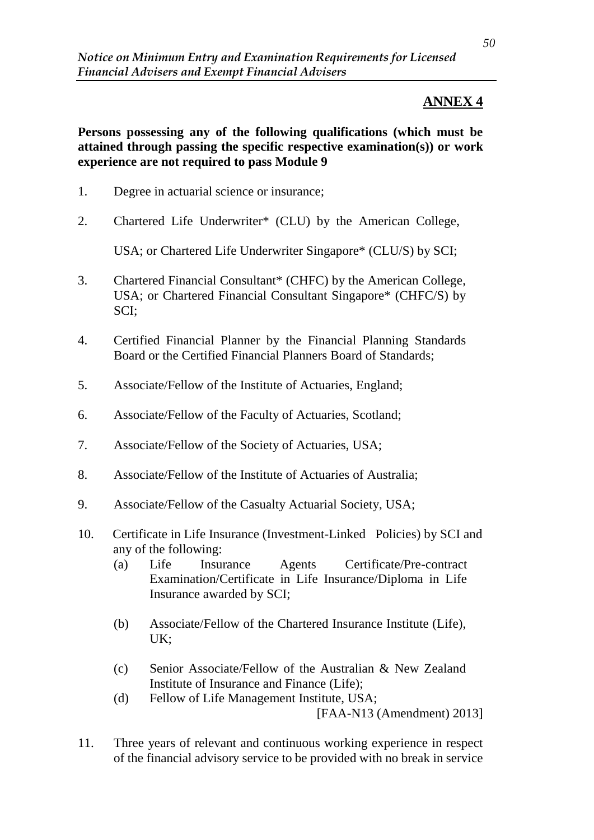# **ANNEX 4**

**Persons possessing any of the following qualifications (which must be attained through passing the specific respective examination(s)) or work experience are not required to pass Module 9**

- 1. Degree in actuarial science or insurance;
- 2. Chartered Life Underwriter\* (CLU) by the American College,

USA; or Chartered Life Underwriter Singapore\* (CLU/S) by SCI;

- 3. Chartered Financial Consultant\* (CHFC) by the American College, USA; or Chartered Financial Consultant Singapore\* (CHFC/S) by SCI;
- 4. Certified Financial Planner by the Financial Planning Standards Board or the Certified Financial Planners Board of Standards;
- 5. Associate/Fellow of the Institute of Actuaries, England;
- 6. Associate/Fellow of the Faculty of Actuaries, Scotland;
- 7. Associate/Fellow of the Society of Actuaries, USA;
- 8. Associate/Fellow of the Institute of Actuaries of Australia;
- 9. Associate/Fellow of the Casualty Actuarial Society, USA;
- 10. Certificate in Life Insurance (Investment-Linked Policies) by SCI and any of the following:
	- (a) Life Insurance Agents Certificate/Pre-contract Examination/Certificate in Life Insurance/Diploma in Life Insurance awarded by SCI;
	- (b) Associate/Fellow of the Chartered Insurance Institute (Life), UK;
	- (c) Senior Associate/Fellow of the Australian & New Zealand Institute of Insurance and Finance (Life);
	- (d) Fellow of Life Management Institute, USA; [FAA-N13 (Amendment) 2013]
- 11. Three years of relevant and continuous working experience in respect of the financial advisory service to be provided with no break in service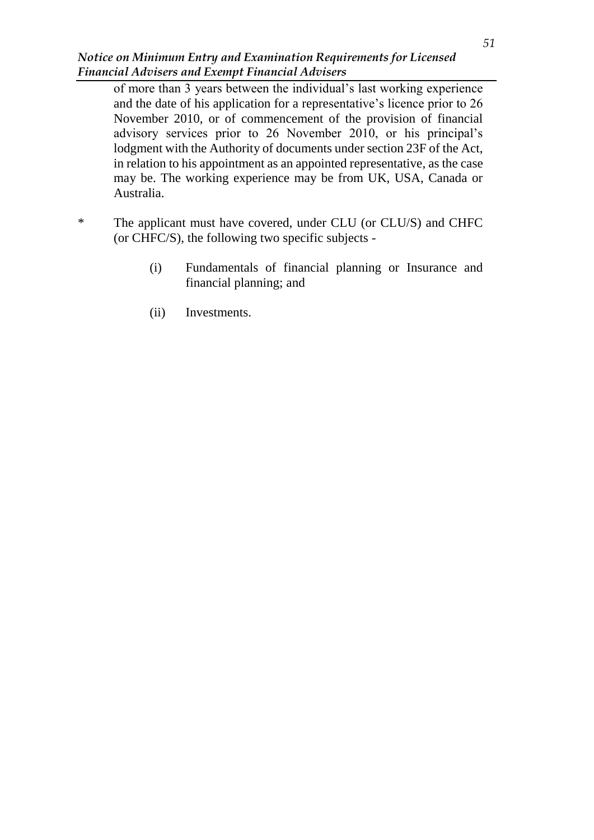of more than 3 years between the individual's last working experience and the date of his application for a representative's licence prior to 26 November 2010, or of commencement of the provision of financial advisory services prior to 26 November 2010, or his principal's lodgment with the Authority of documents under section 23F of the Act, in relation to his appointment as an appointed representative, as the case may be. The working experience may be from UK, USA, Canada or Australia.

- \* The applicant must have covered, under CLU (or CLU/S) and CHFC (or CHFC/S), the following two specific subjects -
	- (i) Fundamentals of financial planning or Insurance and financial planning; and
	- (ii) Investments.